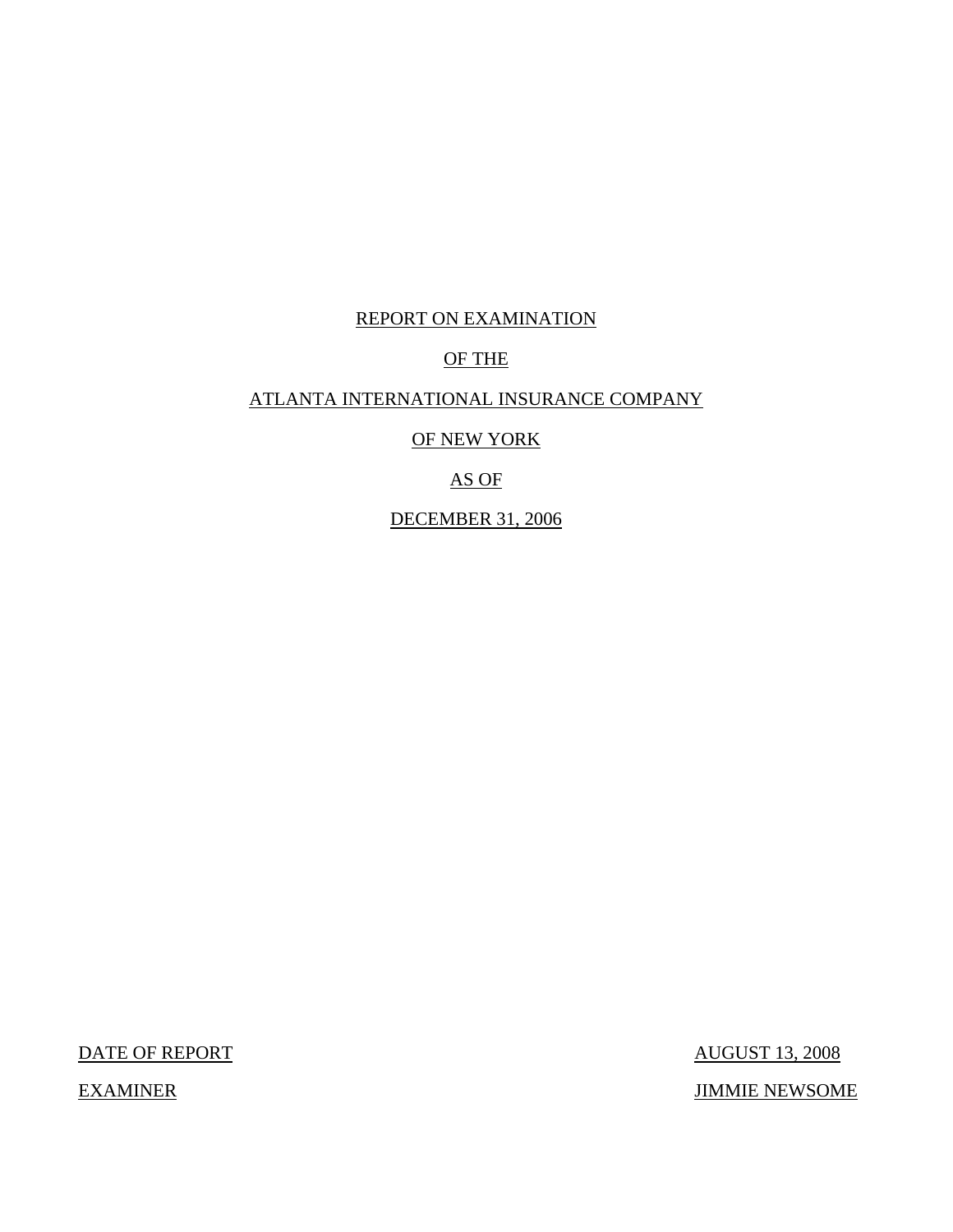## REPORT ON EXAMINATION

## OF THE

## ATLANTA INTERNATIONAL INSURANCE COMPANY

OF NEW YORK

## AS OF

DECEMBER 31, 2006

DATE OF REPORT AUGUST 13, 2008 EXAMINER JIMMIE NEWSOME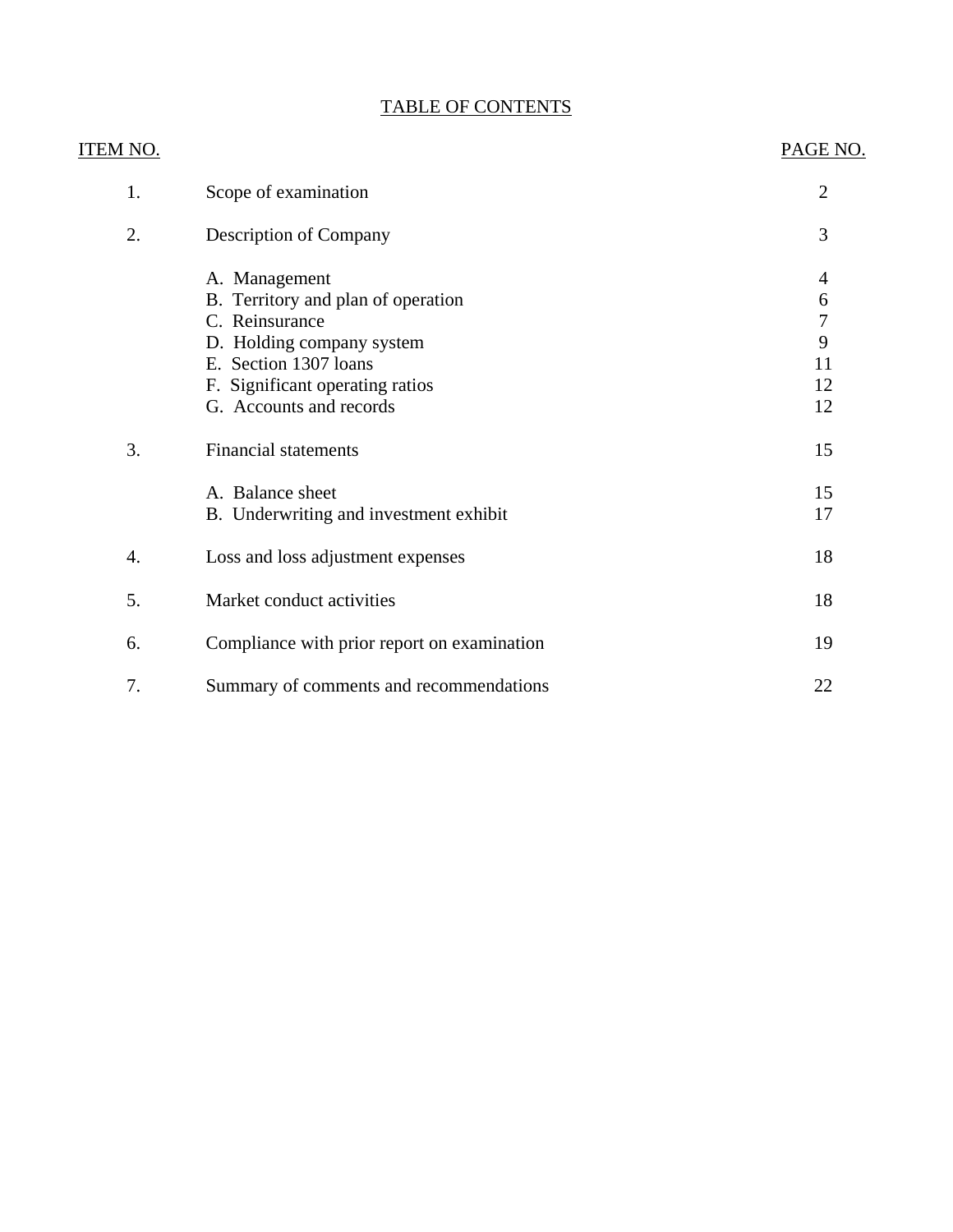# TABLE OF CONTENTS

| <u>ITEM NO.</u> |                                             | PAGE NO.       |
|-----------------|---------------------------------------------|----------------|
| 1.              | Scope of examination                        | $\overline{2}$ |
| 2.              | Description of Company                      | 3              |
|                 | A. Management                               | $\overline{4}$ |
|                 | B. Territory and plan of operation          | 6              |
|                 | C. Reinsurance                              | $\overline{7}$ |
|                 | D. Holding company system                   | 9              |
|                 | E. Section 1307 loans                       | 11             |
|                 | F. Significant operating ratios             | 12             |
|                 | G. Accounts and records                     | 12             |
| 3.              | <b>Financial statements</b>                 | 15             |
|                 | A. Balance sheet                            | 15             |
|                 | B. Underwriting and investment exhibit      | 17             |
| 4.              | Loss and loss adjustment expenses           | 18             |
| 5.              | Market conduct activities                   | 18             |
| 6.              | Compliance with prior report on examination | 19             |
| 7.              | Summary of comments and recommendations     | 22             |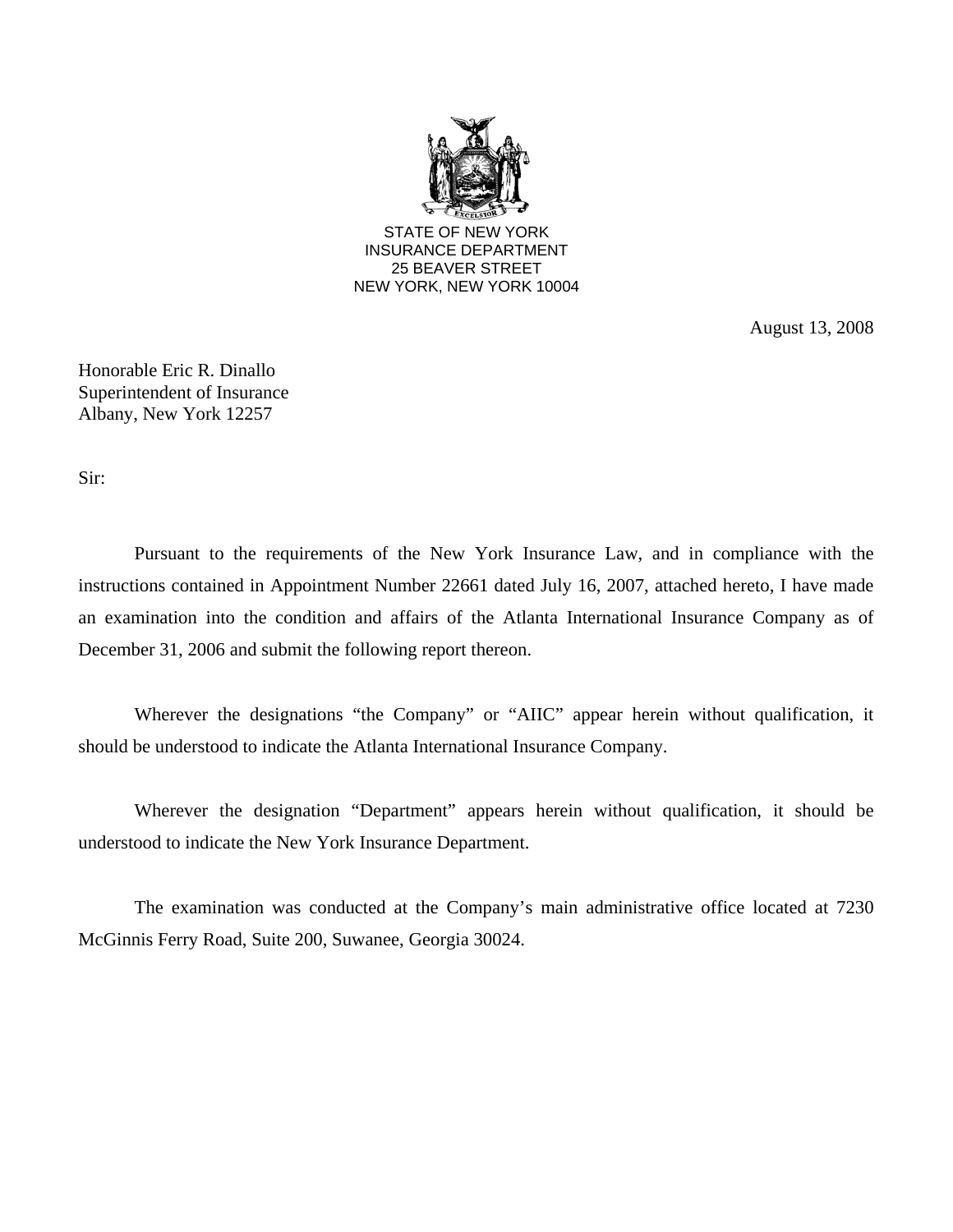

August 13, 2008

Honorable Eric R. Dinallo Superintendent of Insurance Albany, New York 12257

Sir:

Pursuant to the requirements of the New York Insurance Law, and in compliance with the instructions contained in Appointment Number 22661 dated July 16, 2007, attached hereto, I have made an examination into the condition and affairs of the Atlanta International Insurance Company as of December 31, 2006 and submit the following report thereon.

Wherever the designations "the Company" or "AIIC" appear herein without qualification, it should be understood to indicate the Atlanta International Insurance Company.

Wherever the designation "Department" appears herein without qualification, it should be understood to indicate the New York Insurance Department.

The examination was conducted at the Company's main administrative office located at 7230 McGinnis Ferry Road, Suite 200, Suwanee, Georgia 30024.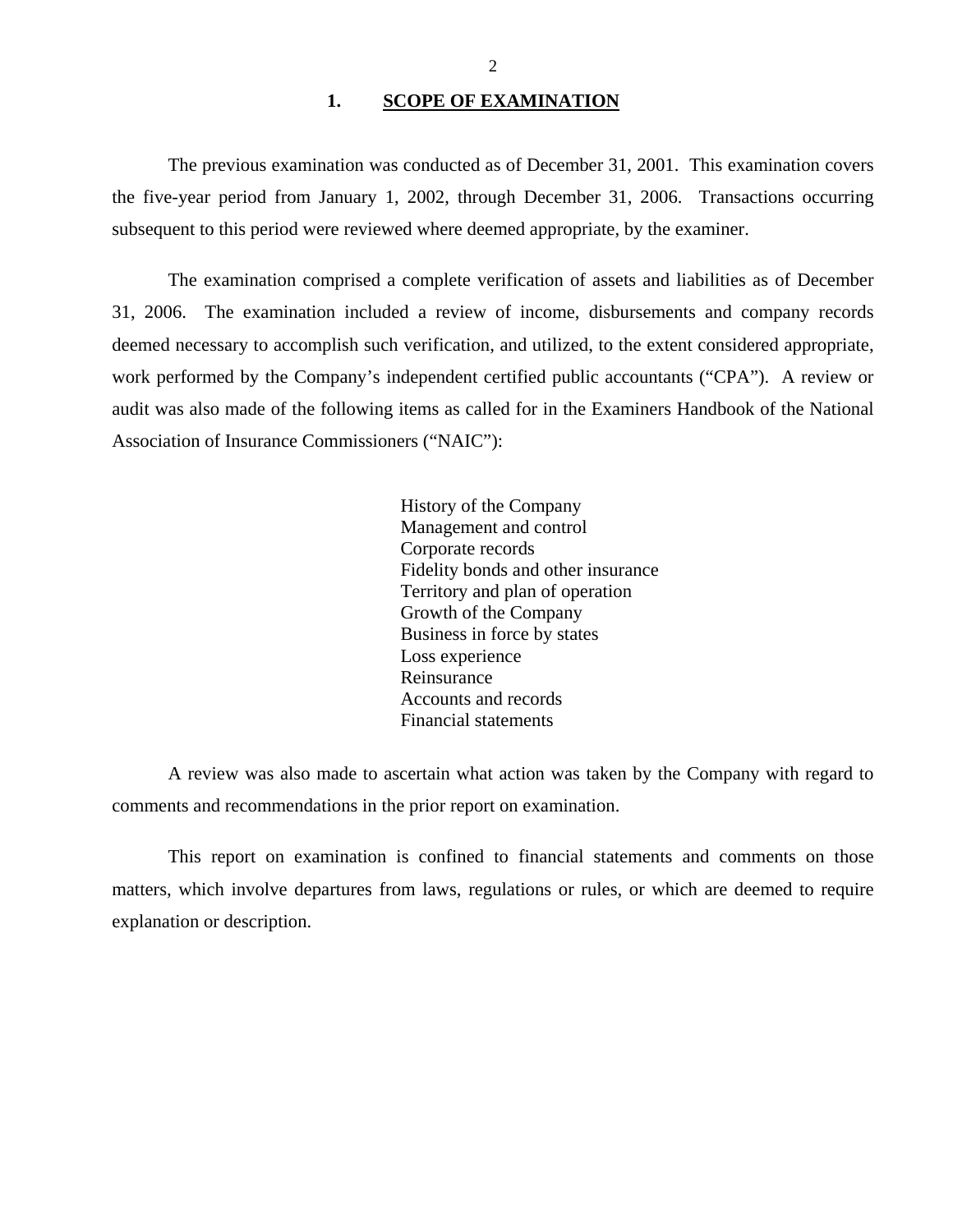#### 1. SCOPE OF EXAMINATION

<span id="page-3-0"></span>The previous examination was conducted as of December 31, 2001. This examination covers the five-year period from January 1, 2002, through December 31, 2006. Transactions occurring subsequent to this period were reviewed where deemed appropriate, by the examiner.

The examination comprised a complete verification of assets and liabilities as of December 31, 2006. The examination included a review of income, disbursements and company records deemed necessary to accomplish such verification, and utilized, to the extent considered appropriate, work performed by the Company's independent certified public accountants ("CPA"). A review or audit was also made of the following items as called for in the Examiners Handbook of the National Association of Insurance Commissioners ("NAIC"):

> History of the Company Management and control Corporate records Fidelity bonds and other insurance Territory and plan of operation Growth of the Company Business in force by states Loss experience Reinsurance Accounts and records Financial statements

A review was also made to ascertain what action was taken by the Company with regard to comments and recommendations in the prior report on examination.

This report on examination is confined to financial statements and comments on those matters, which involve departures from laws, regulations or rules, or which are deemed to require explanation or description.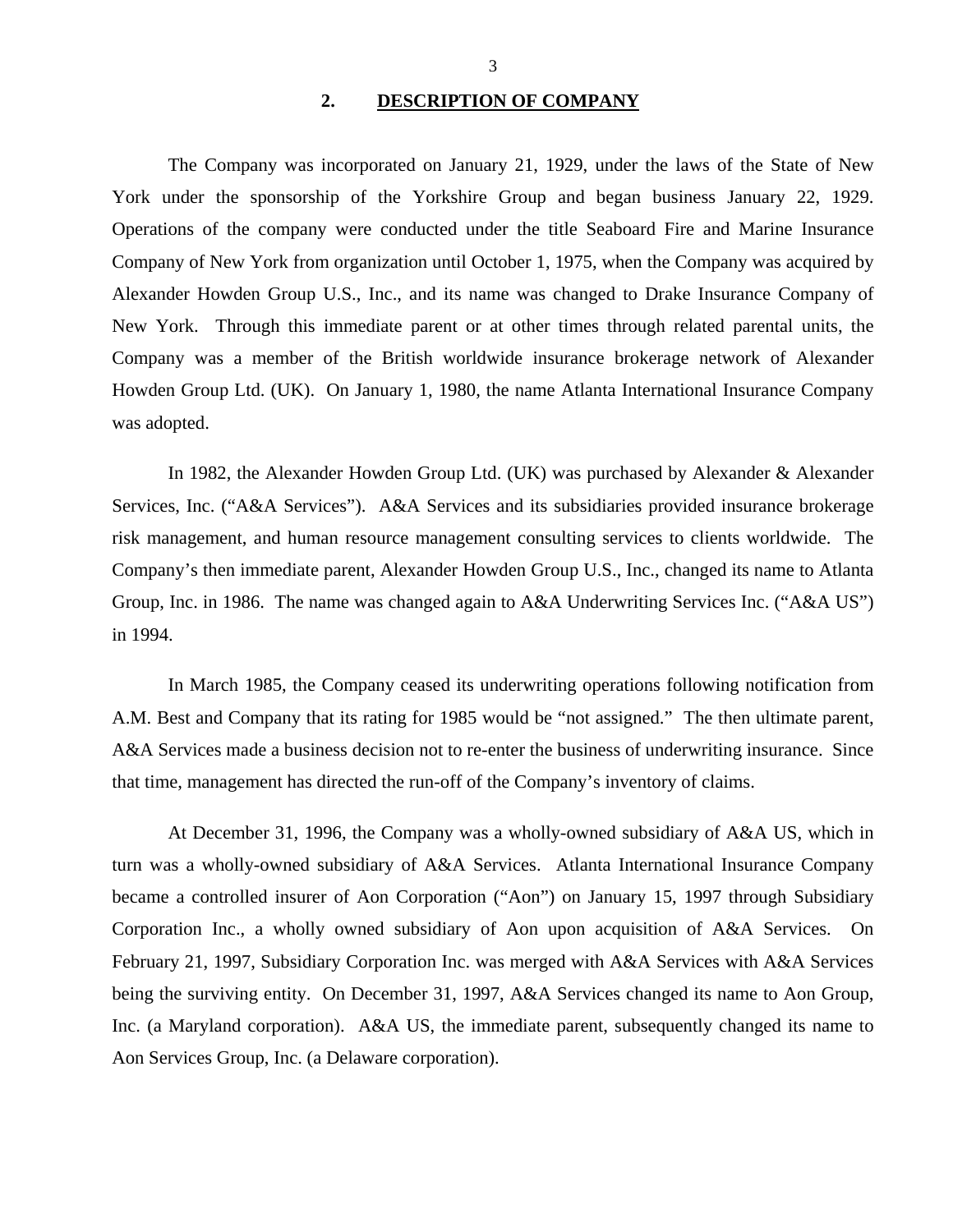#### **2. DESCRIPTION OF COMPANY**

<span id="page-4-0"></span>The Company was incorporated on January 21, 1929, under the laws of the State of New York under the sponsorship of the Yorkshire Group and began business January 22, 1929. Operations of the company were conducted under the title Seaboard Fire and Marine Insurance Company of New York from organization until October 1, 1975, when the Company was acquired by Alexander Howden Group U.S., Inc., and its name was changed to Drake Insurance Company of New York. Through this immediate parent or at other times through related parental units, the Company was a member of the British worldwide insurance brokerage network of Alexander Howden Group Ltd. (UK). On January 1, 1980, the name Atlanta International Insurance Company was adopted.

In 1982, the Alexander Howden Group Ltd. (UK) was purchased by Alexander & Alexander Services, Inc. ("A&A Services"). A&A Services and its subsidiaries provided insurance brokerage risk management, and human resource management consulting services to clients worldwide. The Company's then immediate parent, Alexander Howden Group U.S., Inc., changed its name to Atlanta Group, Inc. in 1986. The name was changed again to A&A Underwriting Services Inc. ("A&A US") in 1994.

In March 1985, the Company ceased its underwriting operations following notification from A.M. Best and Company that its rating for 1985 would be "not assigned." The then ultimate parent, A&A Services made a business decision not to re-enter the business of underwriting insurance. Since that time, management has directed the run-off of the Company's inventory of claims.

At December 31, 1996, the Company was a wholly-owned subsidiary of A&A US, which in turn was a wholly-owned subsidiary of A&A Services. Atlanta International Insurance Company became a controlled insurer of Aon Corporation ("Aon") on January 15, 1997 through Subsidiary Corporation Inc., a wholly owned subsidiary of Aon upon acquisition of A&A Services. On February 21, 1997, Subsidiary Corporation Inc. was merged with A&A Services with A&A Services being the surviving entity. On December 31, 1997, A&A Services changed its name to Aon Group, Inc. (a Maryland corporation). A&A US, the immediate parent, subsequently changed its name to Aon Services Group, Inc. (a Delaware corporation).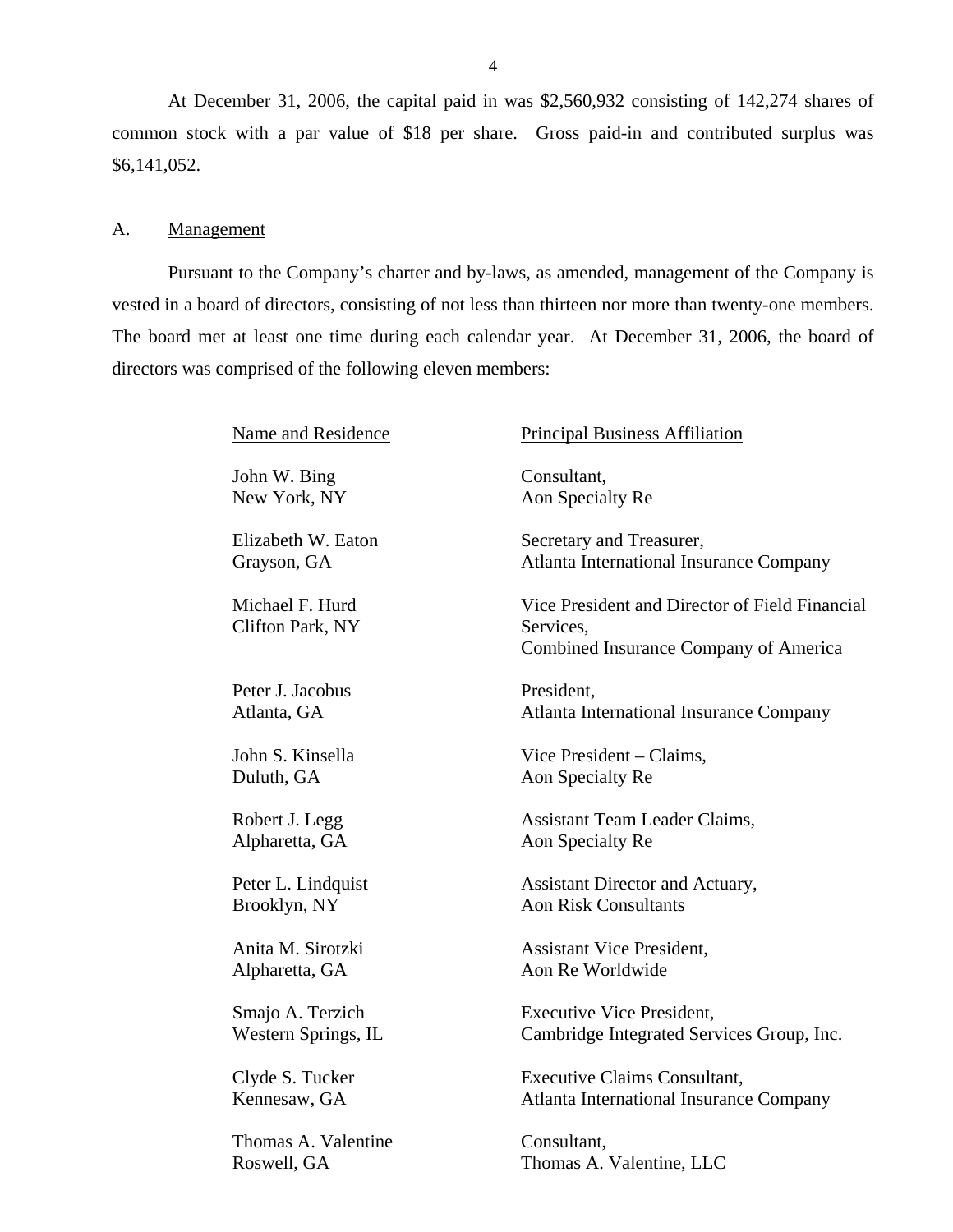At December 31, 2006, the capital paid in was \$2,560,932 consisting of 142,274 shares of common stock with a par value of \$18 per share. Gross paid-in and contributed surplus was \$6,141,052.

#### A. **Management**

Pursuant to the Company's charter and by-laws, as amended, management of the Company is vested in a board of directors, consisting of not less than thirteen nor more than twenty-one members. The board met at least one time during each calendar year. At December 31, 2006, the board of directors was comprised of the following eleven members:

| Name and Residence                  | <b>Principal Business Affiliation</b>                                                                |
|-------------------------------------|------------------------------------------------------------------------------------------------------|
| John W. Bing                        | Consultant,                                                                                          |
| New York, NY                        | Aon Specialty Re                                                                                     |
| Elizabeth W. Eaton                  | Secretary and Treasurer,                                                                             |
| Grayson, GA                         | <b>Atlanta International Insurance Company</b>                                                       |
| Michael F. Hurd<br>Clifton Park, NY | Vice President and Director of Field Financial<br>Services,<br>Combined Insurance Company of America |
| Peter J. Jacobus                    | President,                                                                                           |
| Atlanta, GA                         | <b>Atlanta International Insurance Company</b>                                                       |
| John S. Kinsella                    | Vice President – Claims,                                                                             |
| Duluth, GA                          | Aon Specialty Re                                                                                     |
| Robert J. Legg                      | Assistant Team Leader Claims,                                                                        |
| Alpharetta, GA                      | Aon Specialty Re                                                                                     |
| Peter L. Lindquist                  | Assistant Director and Actuary,                                                                      |
| Brooklyn, NY                        | <b>Aon Risk Consultants</b>                                                                          |
| Anita M. Sirotzki                   | <b>Assistant Vice President,</b>                                                                     |
| Alpharetta, GA                      | Aon Re Worldwide                                                                                     |
| Smajo A. Terzich                    | <b>Executive Vice President,</b>                                                                     |
| Western Springs, IL                 | Cambridge Integrated Services Group, Inc.                                                            |
| Clyde S. Tucker                     | <b>Executive Claims Consultant,</b>                                                                  |
| Kennesaw, GA                        | <b>Atlanta International Insurance Company</b>                                                       |
| Thomas A. Valentine                 | Consultant,                                                                                          |
| Roswell, GA                         | Thomas A. Valentine, LLC                                                                             |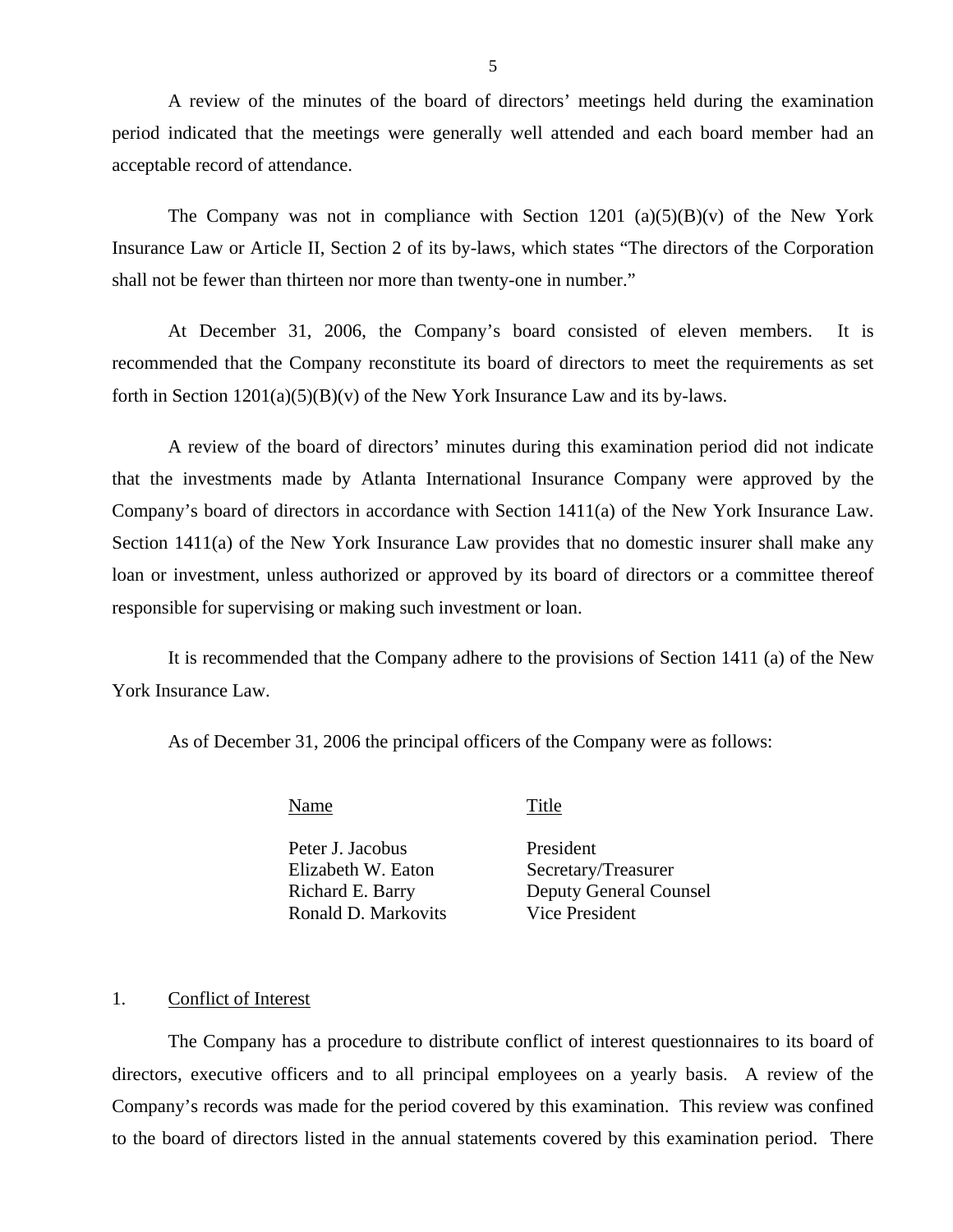A review of the minutes of the board of directors' meetings held during the examination period indicated that the meetings were generally well attended and each board member had an acceptable record of attendance.

The Company was not in compliance with Section 1201 (a)(5)(B)(v) of the New York Insurance Law or Article II, Section 2 of its by-laws, which states "The directors of the Corporation shall not be fewer than thirteen nor more than twenty-one in number."

At December 31, 2006, the Company's board consisted of eleven members. It is recommended that the Company reconstitute its board of directors to meet the requirements as set forth in Section  $1201(a)(5)(B)(v)$  of the New York Insurance Law and its by-laws.

A review of the board of directors' minutes during this examination period did not indicate that the investments made by Atlanta International Insurance Company were approved by the Company's board of directors in accordance with Section 1411(a) of the New York Insurance Law. Section 1411(a) of the New York Insurance Law provides that no domestic insurer shall make any loan or investment, unless authorized or approved by its board of directors or a committee thereof responsible for supervising or making such investment or loan.

It is recommended that the Company adhere to the provisions of Section 1411 (a) of the New York Insurance Law.

As of December 31, 2006 the principal officers of the Company were as follows:

Name Title

Peter J. Jacobus President Elizabeth W. Eaton Secretary/Treasurer Ronald D. Markovits Vice President

Richard E. Barry Deputy General Counsel

#### 1. Conflict of Interest

The Company has a procedure to distribute conflict of interest questionnaires to its board of directors, executive officers and to all principal employees on a yearly basis. A review of the Company's records was made for the period covered by this examination. This review was confined to the board of directors listed in the annual statements covered by this examination period. There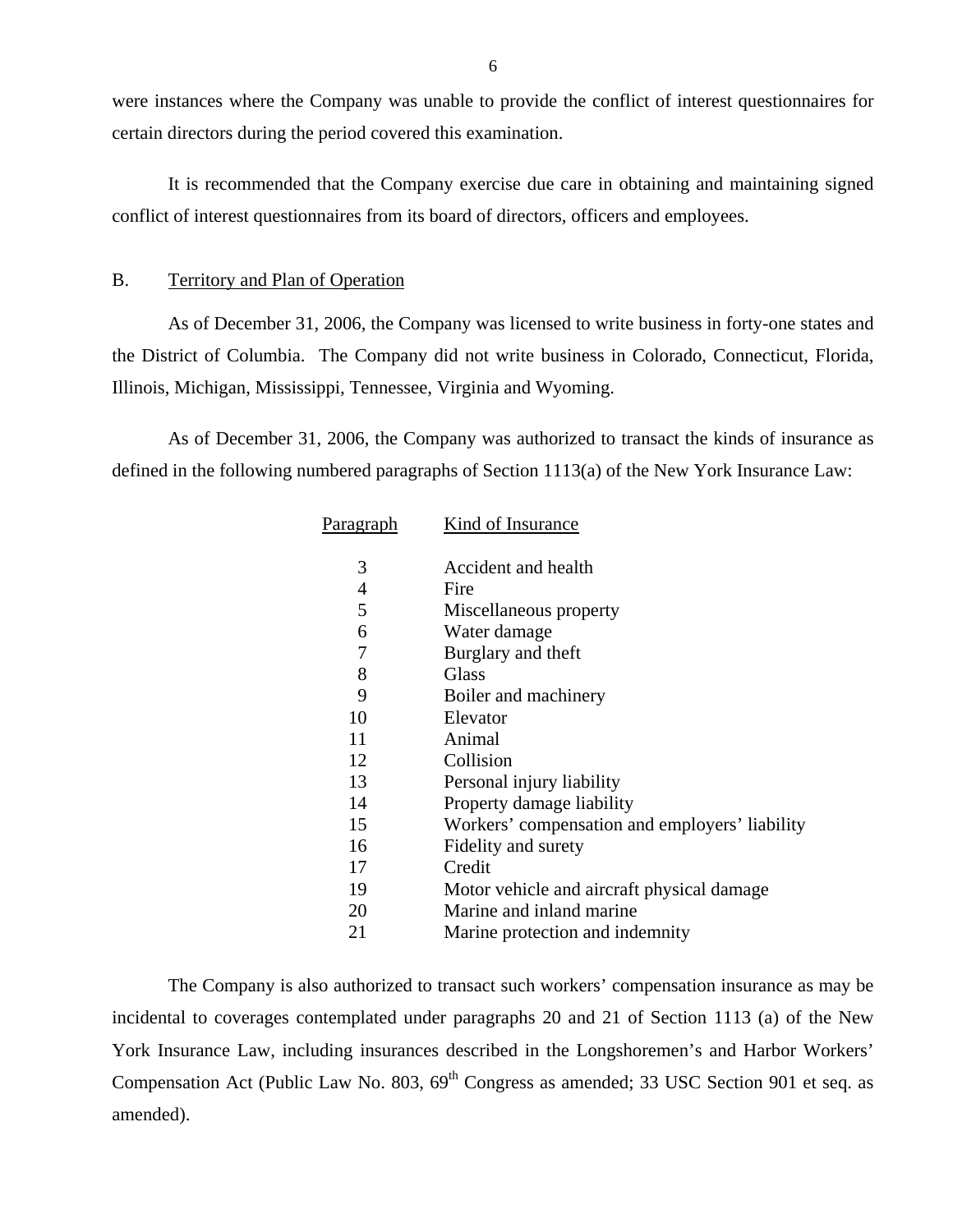<span id="page-7-0"></span>were instances where the Company was unable to provide the conflict of interest questionnaires for certain directors during the period covered this examination.

It is recommended that the Company exercise due care in obtaining and maintaining signed conflict of interest questionnaires from its board of directors, officers and employees.

#### B. Territory and Plan of Operation

As of December 31, 2006, the Company was licensed to write business in forty-one states and the District of Columbia. The Company did not write business in Colorado, Connecticut, Florida, Illinois, Michigan, Mississippi, Tennessee, Virginia and Wyoming.

As of December 31, 2006, the Company was authorized to transact the kinds of insurance as defined in the following numbered paragraphs of Section 1113(a) of the New York Insurance Law:

| Paragraph | Kind of Insurance                              |
|-----------|------------------------------------------------|
| 3         | Accident and health                            |
| 4         | Fire                                           |
| 5         | Miscellaneous property                         |
| 6         | Water damage                                   |
| 7         | Burglary and theft                             |
| 8         | <b>Glass</b>                                   |
| 9         | Boiler and machinery                           |
| 10        | Elevator                                       |
| 11        | Animal                                         |
| 12        | Collision                                      |
| 13        | Personal injury liability                      |
| 14        | Property damage liability                      |
| 15        | Workers' compensation and employers' liability |
| 16        | Fidelity and surety                            |
| 17        | Credit                                         |
| 19        | Motor vehicle and aircraft physical damage     |
| 20        | Marine and inland marine                       |
| 21        | Marine protection and indemnity                |

The Company is also authorized to transact such workers' compensation insurance as may be incidental to coverages contemplated under paragraphs 20 and 21 of Section 1113 (a) of the New York Insurance Law, including insurances described in the Longshoremen's and Harbor Workers' Compensation Act (Public Law No. 803,  $69<sup>th</sup>$  Congress as amended; 33 USC Section 901 et seq. as amended).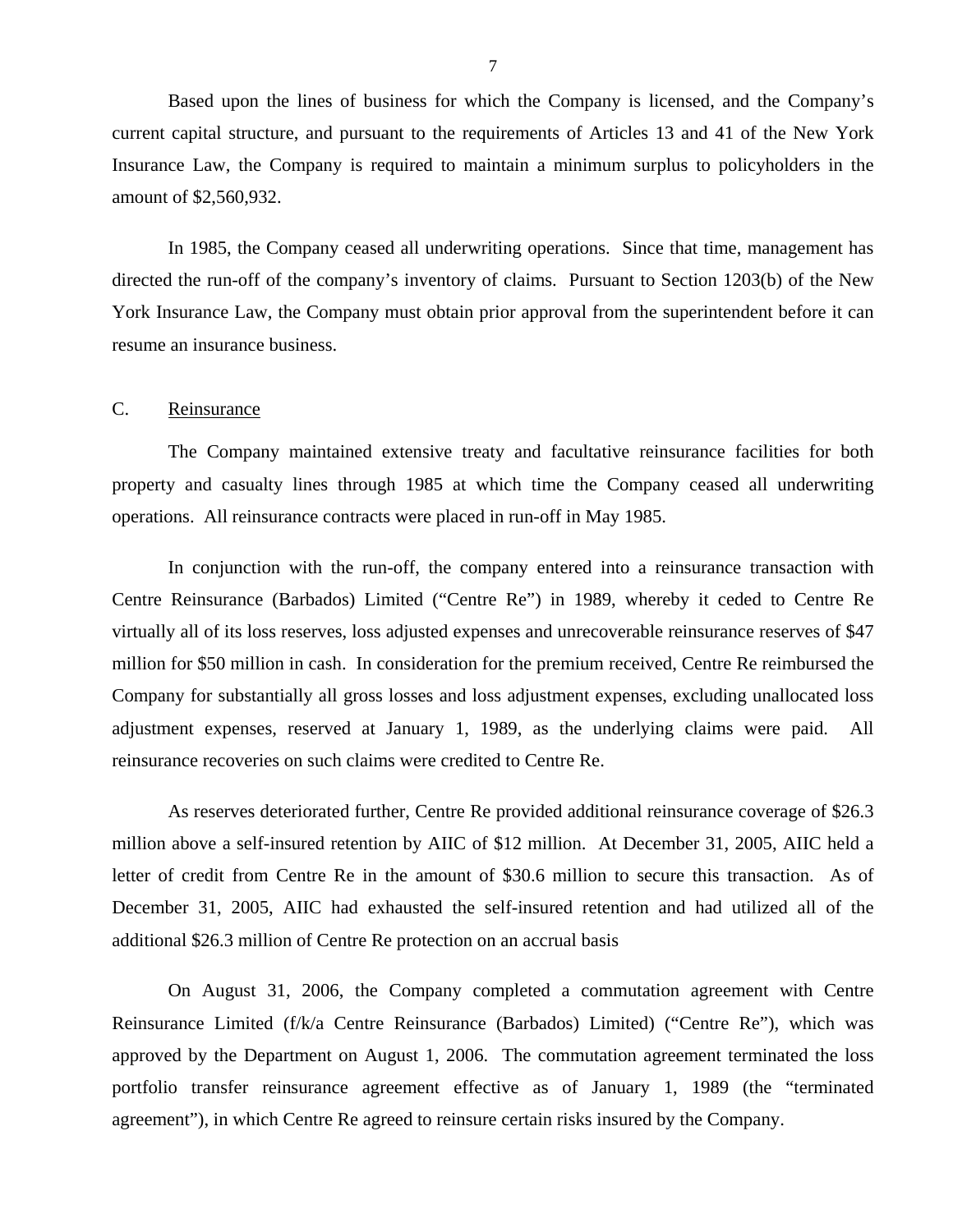<span id="page-8-0"></span>Based upon the lines of business for which the Company is licensed, and the Company's current capital structure, and pursuant to the requirements of Articles 13 and 41 of the New York Insurance Law, the Company is required to maintain a minimum surplus to policyholders in the amount of \$2,560,932.

In 1985, the Company ceased all underwriting operations. Since that time, management has directed the run-off of the company's inventory of claims. Pursuant to Section 1203(b) of the New York Insurance Law, the Company must obtain prior approval from the superintendent before it can resume an insurance business.

#### C. Reinsurance

The Company maintained extensive treaty and facultative reinsurance facilities for both property and casualty lines through 1985 at which time the Company ceased all underwriting operations. All reinsurance contracts were placed in run-off in May 1985.

In conjunction with the run-off, the company entered into a reinsurance transaction with Centre Reinsurance (Barbados) Limited ("Centre Re") in 1989, whereby it ceded to Centre Re virtually all of its loss reserves, loss adjusted expenses and unrecoverable reinsurance reserves of \$47 million for \$50 million in cash. In consideration for the premium received, Centre Re reimbursed the Company for substantially all gross losses and loss adjustment expenses, excluding unallocated loss adjustment expenses, reserved at January 1, 1989, as the underlying claims were paid. All reinsurance recoveries on such claims were credited to Centre Re.

As reserves deteriorated further, Centre Re provided additional reinsurance coverage of \$26.3 million above a self-insured retention by AIIC of \$12 million. At December 31, 2005, AIIC held a letter of credit from Centre Re in the amount of \$30.6 million to secure this transaction. As of December 31, 2005, AIIC had exhausted the self-insured retention and had utilized all of the additional \$26.3 million of Centre Re protection on an accrual basis

On August 31, 2006, the Company completed a commutation agreement with Centre Reinsurance Limited (f/k/a Centre Reinsurance (Barbados) Limited) ("Centre Re"), which was approved by the Department on August 1, 2006. The commutation agreement terminated the loss portfolio transfer reinsurance agreement effective as of January 1, 1989 (the "terminated agreement"), in which Centre Re agreed to reinsure certain risks insured by the Company.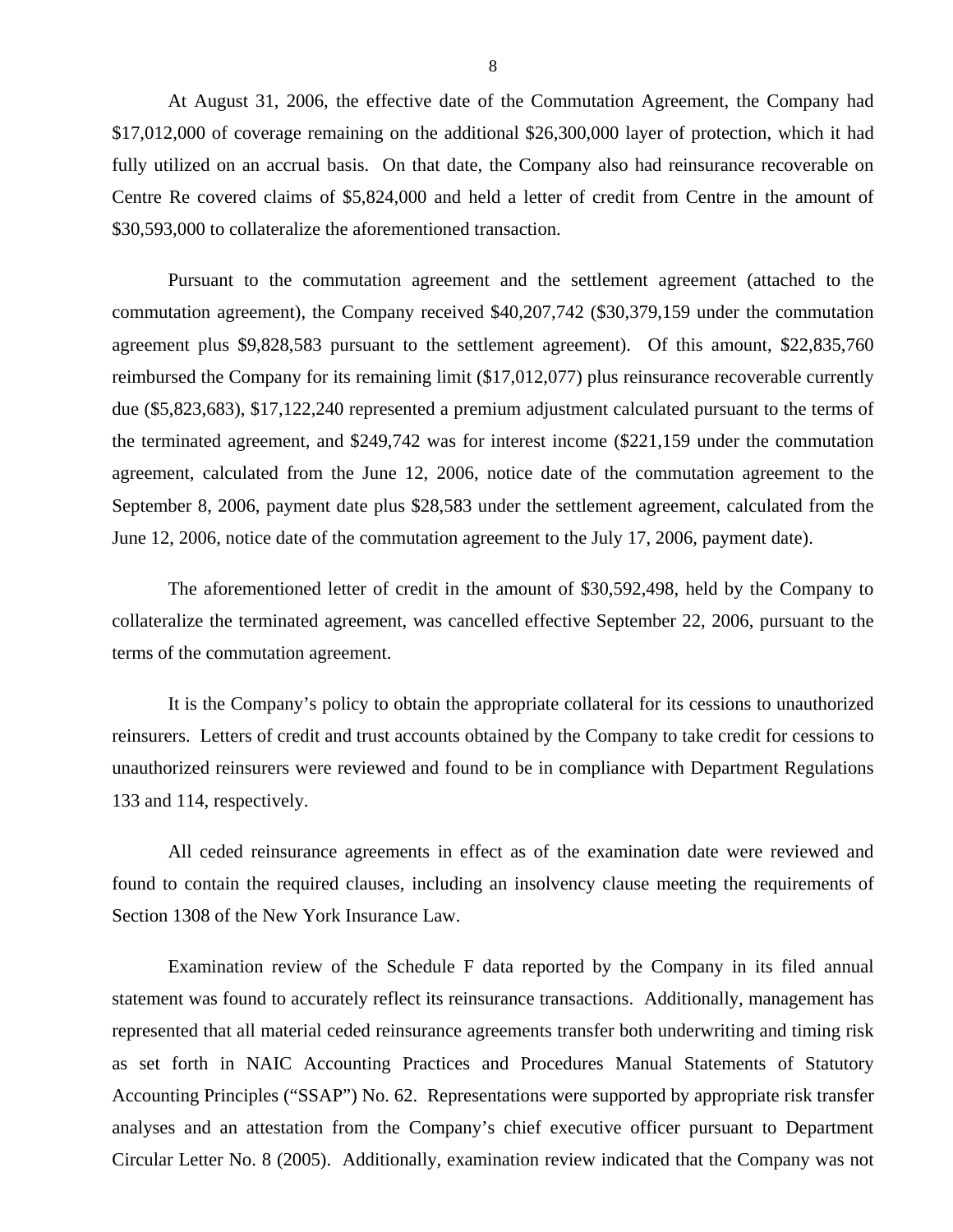At August 31, 2006, the effective date of the Commutation Agreement, the Company had \$17,012,000 of coverage remaining on the additional \$26,300,000 layer of protection, which it had fully utilized on an accrual basis. On that date, the Company also had reinsurance recoverable on Centre Re covered claims of \$5,824,000 and held a letter of credit from Centre in the amount of \$30,593,000 to collateralize the aforementioned transaction.

Pursuant to the commutation agreement and the settlement agreement (attached to the commutation agreement), the Company received \$40,207,742 (\$30,379,159 under the commutation agreement plus \$9,828,583 pursuant to the settlement agreement). Of this amount, \$22,835,760 reimbursed the Company for its remaining limit (\$17,012,077) plus reinsurance recoverable currently due (\$5,823,683), \$17,122,240 represented a premium adjustment calculated pursuant to the terms of the terminated agreement, and \$249,742 was for interest income (\$221,159 under the commutation agreement, calculated from the June 12, 2006, notice date of the commutation agreement to the September 8, 2006, payment date plus \$28,583 under the settlement agreement, calculated from the June 12, 2006, notice date of the commutation agreement to the July 17, 2006, payment date).

The aforementioned letter of credit in the amount of \$30,592,498, held by the Company to collateralize the terminated agreement, was cancelled effective September 22, 2006, pursuant to the terms of the commutation agreement.

It is the Company's policy to obtain the appropriate collateral for its cessions to unauthorized reinsurers. Letters of credit and trust accounts obtained by the Company to take credit for cessions to unauthorized reinsurers were reviewed and found to be in compliance with Department Regulations 133 and 114, respectively.

All ceded reinsurance agreements in effect as of the examination date were reviewed and found to contain the required clauses, including an insolvency clause meeting the requirements of Section 1308 of the New York Insurance Law.

Examination review of the Schedule F data reported by the Company in its filed annual statement was found to accurately reflect its reinsurance transactions. Additionally, management has represented that all material ceded reinsurance agreements transfer both underwriting and timing risk as set forth in NAIC Accounting Practices and Procedures Manual Statements of Statutory Accounting Principles ("SSAP") No. 62. Representations were supported by appropriate risk transfer analyses and an attestation from the Company's chief executive officer pursuant to Department Circular Letter No. 8 (2005). Additionally, examination review indicated that the Company was not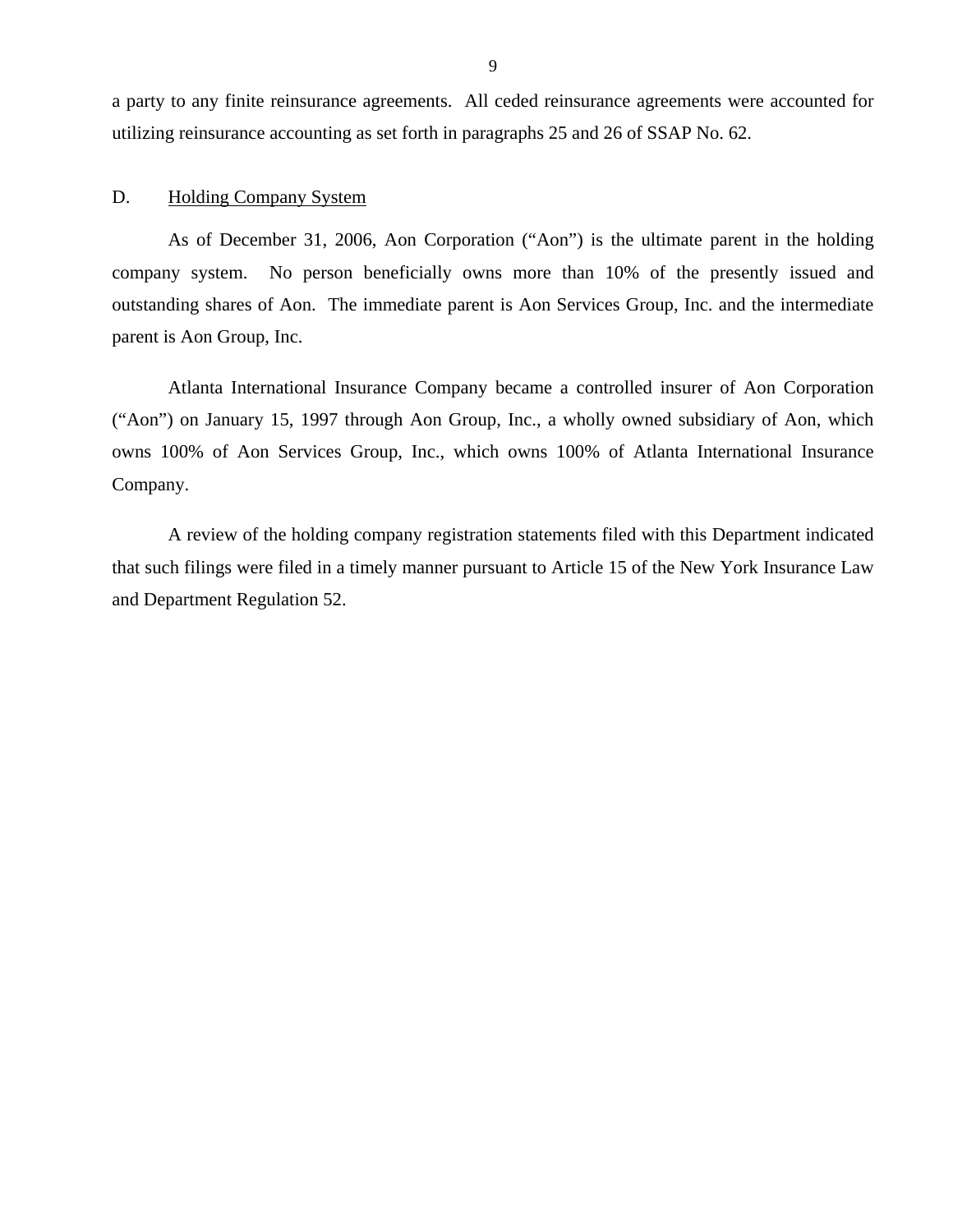<span id="page-10-0"></span>a party to any finite reinsurance agreements. All ceded reinsurance agreements were accounted for utilizing reinsurance accounting as set forth in paragraphs 25 and 26 of SSAP No. 62.

#### D. Holding Company System

As of December 31, 2006, Aon Corporation ("Aon") is the ultimate parent in the holding company system. No person beneficially owns more than 10% of the presently issued and outstanding shares of Aon. The immediate parent is Aon Services Group, Inc. and the intermediate parent is Aon Group, Inc.

Atlanta International Insurance Company became a controlled insurer of Aon Corporation ("Aon") on January 15, 1997 through Aon Group, Inc., a wholly owned subsidiary of Aon, which owns 100% of Aon Services Group, Inc., which owns 100% of Atlanta International Insurance Company.

A review of the holding company registration statements filed with this Department indicated that such filings were filed in a timely manner pursuant to Article 15 of the New York Insurance Law and Department Regulation 52.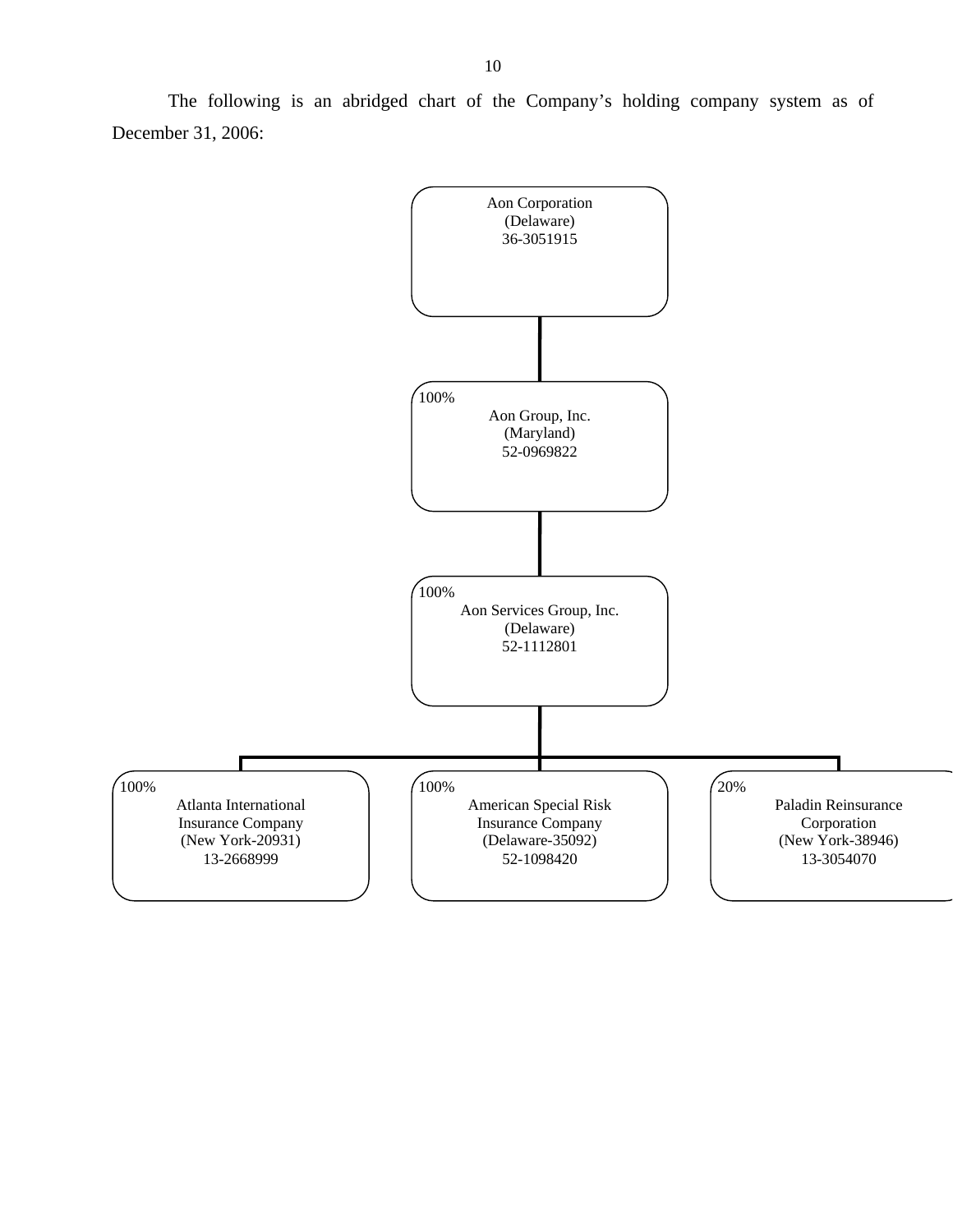The following is an abridged chart of the Company's holding company system as of December 31, 2006:

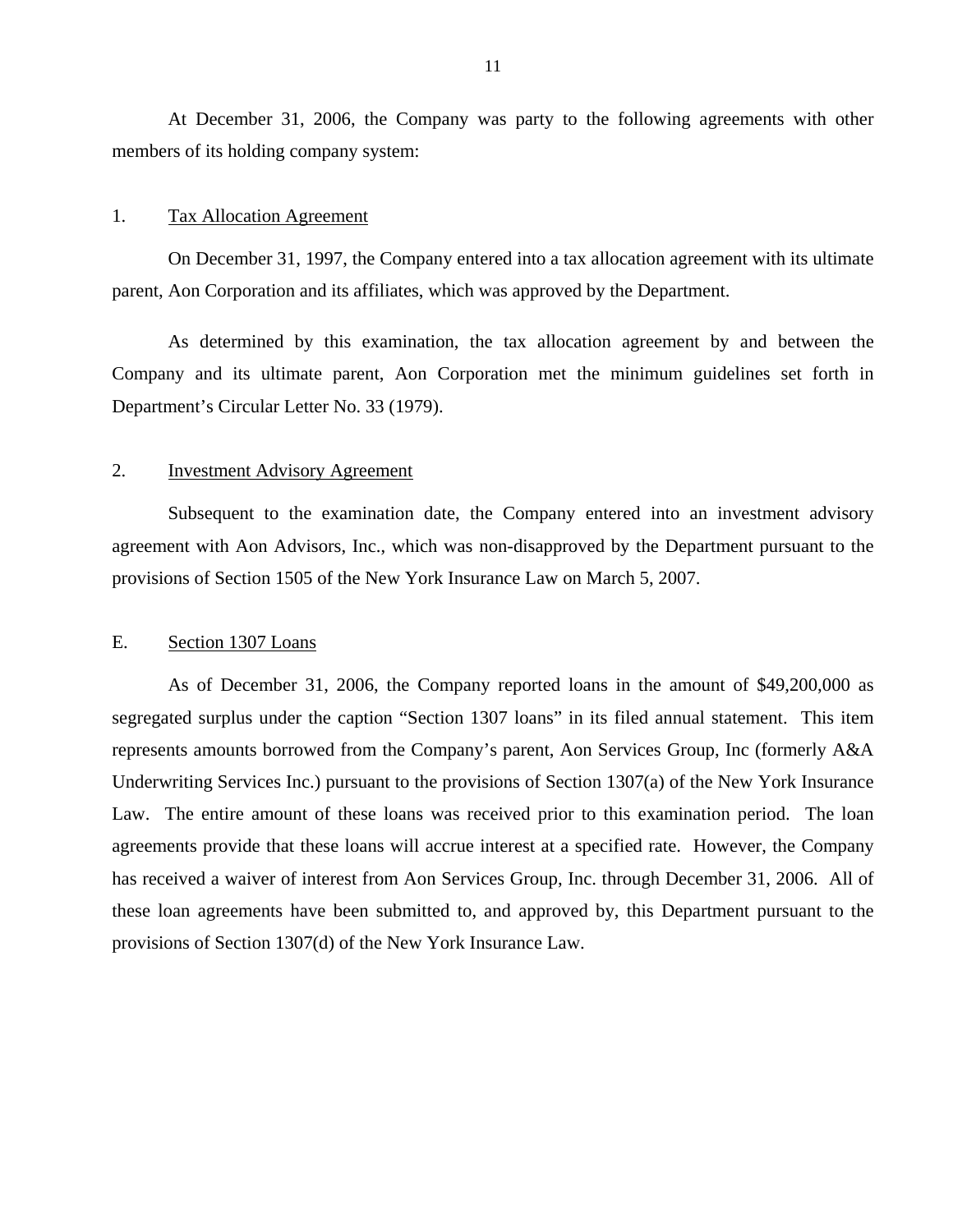<span id="page-12-0"></span>At December 31, 2006, the Company was party to the following agreements with other members of its holding company system:

#### 1. Tax Allocation Agreement

On December 31, 1997, the Company entered into a tax allocation agreement with its ultimate parent, Aon Corporation and its affiliates, which was approved by the Department.

As determined by this examination, the tax allocation agreement by and between the Company and its ultimate parent, Aon Corporation met the minimum guidelines set forth in Department's Circular Letter No. 33 (1979).

#### 2. Investment Advisory Agreement

Subsequent to the examination date, the Company entered into an investment advisory agreement with Aon Advisors, Inc., which was non-disapproved by the Department pursuant to the provisions of Section 1505 of the New York Insurance Law on March 5, 2007.

#### E. Section 1307 Loans

As of December 31, 2006, the Company reported loans in the amount of \$49,200,000 as segregated surplus under the caption "Section 1307 loans" in its filed annual statement. This item represents amounts borrowed from the Company's parent, Aon Services Group, Inc (formerly A&A Underwriting Services Inc.) pursuant to the provisions of Section 1307(a) of the New York Insurance Law. The entire amount of these loans was received prior to this examination period. The loan agreements provide that these loans will accrue interest at a specified rate. However, the Company has received a waiver of interest from Aon Services Group, Inc. through December 31, 2006. All of these loan agreements have been submitted to, and approved by, this Department pursuant to the provisions of Section 1307(d) of the New York Insurance Law.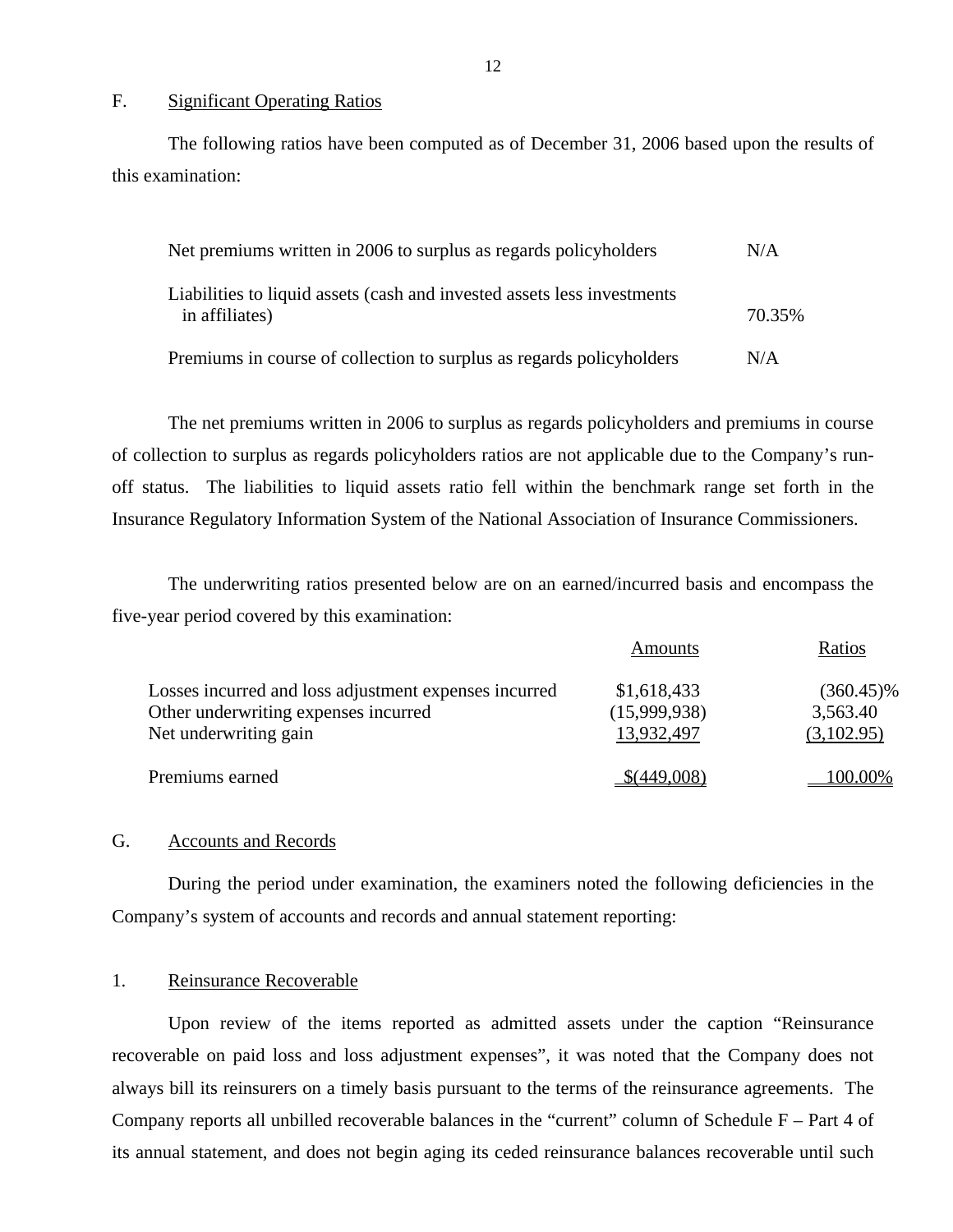#### F. Significant Operating Ratios

The following ratios have been computed as of December 31, 2006 based upon the results of this examination:

| Net premiums written in 2006 to surplus as regards policyholders                          | N/A    |
|-------------------------------------------------------------------------------------------|--------|
| Liabilities to liquid assets (cash and invested assets less investments<br>in affiliates) | 70.35% |
| Premiums in course of collection to surplus as regards policyholders                      | N/A    |

The net premiums written in 2006 to surplus as regards policyholders and premiums in course of collection to surplus as regards policyholders ratios are not applicable due to the Company's runoff status. The liabilities to liquid assets ratio fell within the benchmark range set forth in the Insurance Regulatory Information System of the National Association of Insurance Commissioners.

The underwriting ratios presented below are on an earned/incurred basis and encompass the five-year period covered by this examination:

|                                                               | Amounts                    | Ratios                 |
|---------------------------------------------------------------|----------------------------|------------------------|
| Losses incurred and loss adjustment expenses incurred         | \$1,618,433                | $(360.45)\%$           |
| Other underwriting expenses incurred<br>Net underwriting gain | (15,999,938)<br>13,932,497 | 3,563.40<br>(3,102.95) |
|                                                               |                            |                        |
| Premiums earned                                               | \$(449,008)                | 100.00%                |

#### G. Accounts and Records

During the period under examination, the examiners noted the following deficiencies in the Company's system of accounts and records and annual statement reporting:

#### 1. Reinsurance Recoverable

Upon review of the items reported as admitted assets under the caption "Reinsurance recoverable on paid loss and loss adjustment expenses", it was noted that the Company does not always bill its reinsurers on a timely basis pursuant to the terms of the reinsurance agreements. The Company reports all unbilled recoverable balances in the "current" column of Schedule F – Part 4 of its annual statement, and does not begin aging its ceded reinsurance balances recoverable until such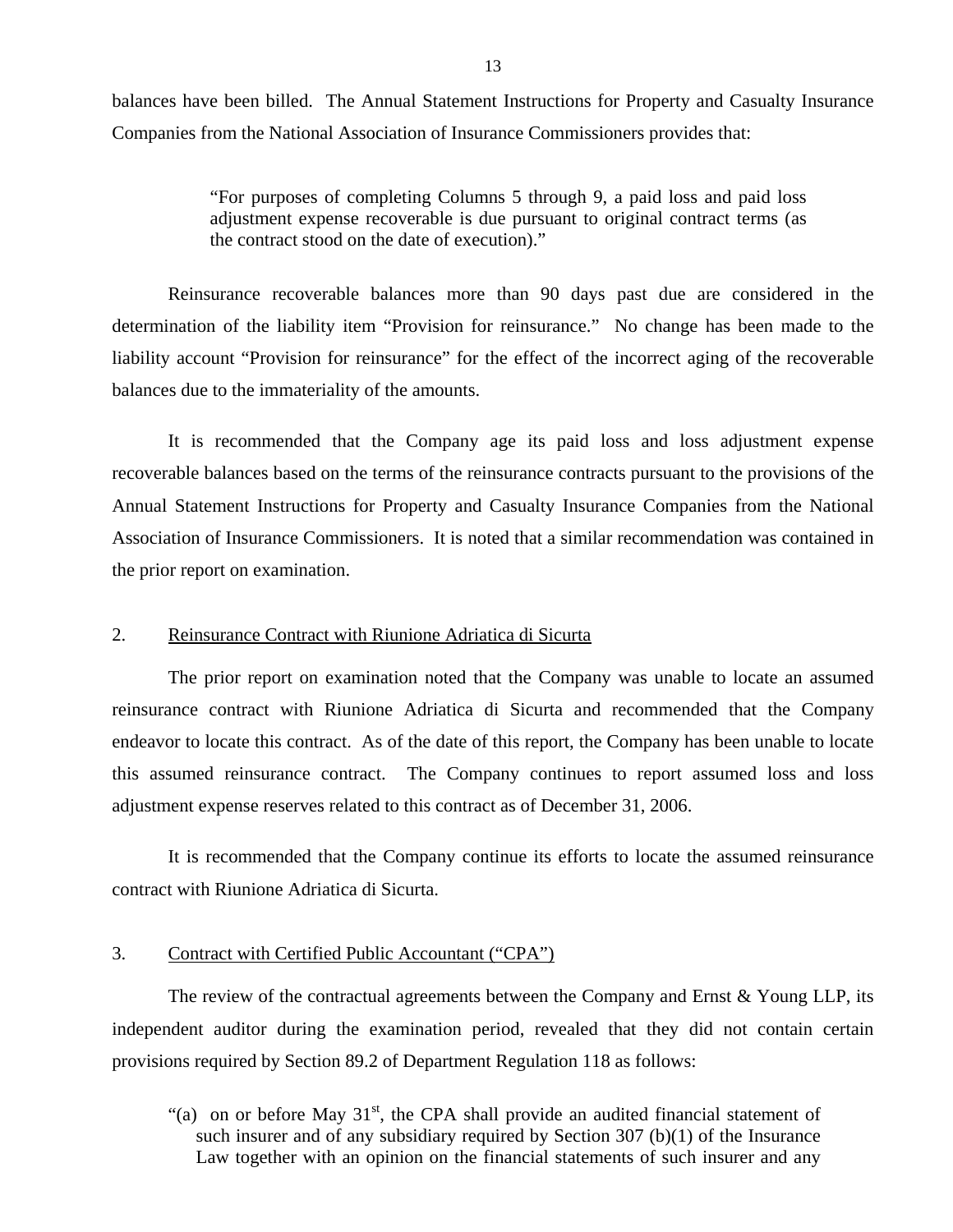<span id="page-14-0"></span>balances have been billed. The Annual Statement Instructions for Property and Casualty Insurance Companies from the National Association of Insurance Commissioners provides that:

> "For purposes of completing Columns 5 through 9, a paid loss and paid loss adjustment expense recoverable is due pursuant to original contract terms (as the contract stood on the date of execution)."

Reinsurance recoverable balances more than 90 days past due are considered in the determination of the liability item "Provision for reinsurance." No change has been made to the liability account "Provision for reinsurance" for the effect of the incorrect aging of the recoverable balances due to the immateriality of the amounts.

It is recommended that the Company age its paid loss and loss adjustment expense recoverable balances based on the terms of the reinsurance contracts pursuant to the provisions of the Annual Statement Instructions for Property and Casualty Insurance Companies from the National Association of Insurance Commissioners. It is noted that a similar recommendation was contained in the prior report on examination.

#### 2. Reinsurance Contract with Riunione Adriatica di Sicurta

The prior report on examination noted that the Company was unable to locate an assumed reinsurance contract with Riunione Adriatica di Sicurta and recommended that the Company endeavor to locate this contract. As of the date of this report, the Company has been unable to locate this assumed reinsurance contract. The Company continues to report assumed loss and loss adjustment expense reserves related to this contract as of December 31, 2006.

It is recommended that the Company continue its efforts to locate the assumed reinsurance contract with Riunione Adriatica di Sicurta.

#### 3. Contract with Certified Public Accountant ("CPA")

The review of the contractual agreements between the Company and Ernst  $&$  Young LLP, its independent auditor during the examination period, revealed that they did not contain certain provisions required by Section 89.2 of Department Regulation 118 as follows:

"(a) on or before May  $31<sup>st</sup>$ , the CPA shall provide an audited financial statement of such insurer and of any subsidiary required by Section 307 (b)(1) of the Insurance Law together with an opinion on the financial statements of such insurer and any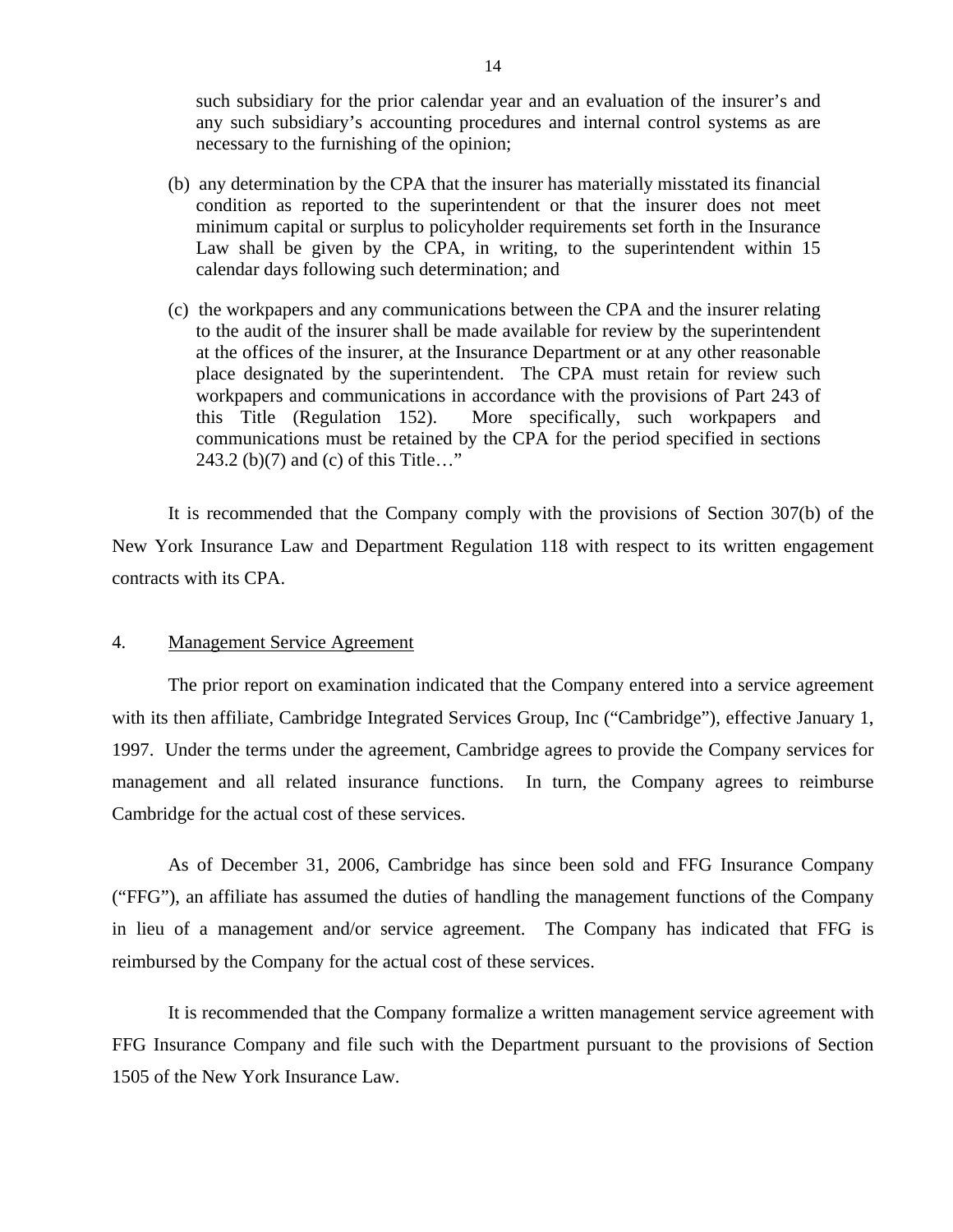such subsidiary for the prior calendar year and an evaluation of the insurer's and any such subsidiary's accounting procedures and internal control systems as are necessary to the furnishing of the opinion;

- (b) any determination by the CPA that the insurer has materially misstated its financial condition as reported to the superintendent or that the insurer does not meet minimum capital or surplus to policyholder requirements set forth in the Insurance Law shall be given by the CPA, in writing, to the superintendent within 15 calendar days following such determination; and
- (c) the workpapers and any communications between the CPA and the insurer relating to the audit of the insurer shall be made available for review by the superintendent at the offices of the insurer, at the Insurance Department or at any other reasonable place designated by the superintendent. The CPA must retain for review such workpapers and communications in accordance with the provisions of Part 243 of this Title (Regulation 152). More specifically, such workpapers and communications must be retained by the CPA for the period specified in sections 243.2 (b)(7) and (c) of this Title…"

It is recommended that the Company comply with the provisions of Section 307(b) of the New York Insurance Law and Department Regulation 118 with respect to its written engagement contracts with its CPA.

#### 4. Management Service Agreement

The prior report on examination indicated that the Company entered into a service agreement with its then affiliate, Cambridge Integrated Services Group, Inc ("Cambridge"), effective January 1, 1997. Under the terms under the agreement, Cambridge agrees to provide the Company services for management and all related insurance functions. In turn, the Company agrees to reimburse Cambridge for the actual cost of these services.

As of December 31, 2006, Cambridge has since been sold and FFG Insurance Company ("FFG"), an affiliate has assumed the duties of handling the management functions of the Company in lieu of a management and/or service agreement. The Company has indicated that FFG is reimbursed by the Company for the actual cost of these services.

It is recommended that the Company formalize a written management service agreement with FFG Insurance Company and file such with the Department pursuant to the provisions of Section 1505 of the New York Insurance Law.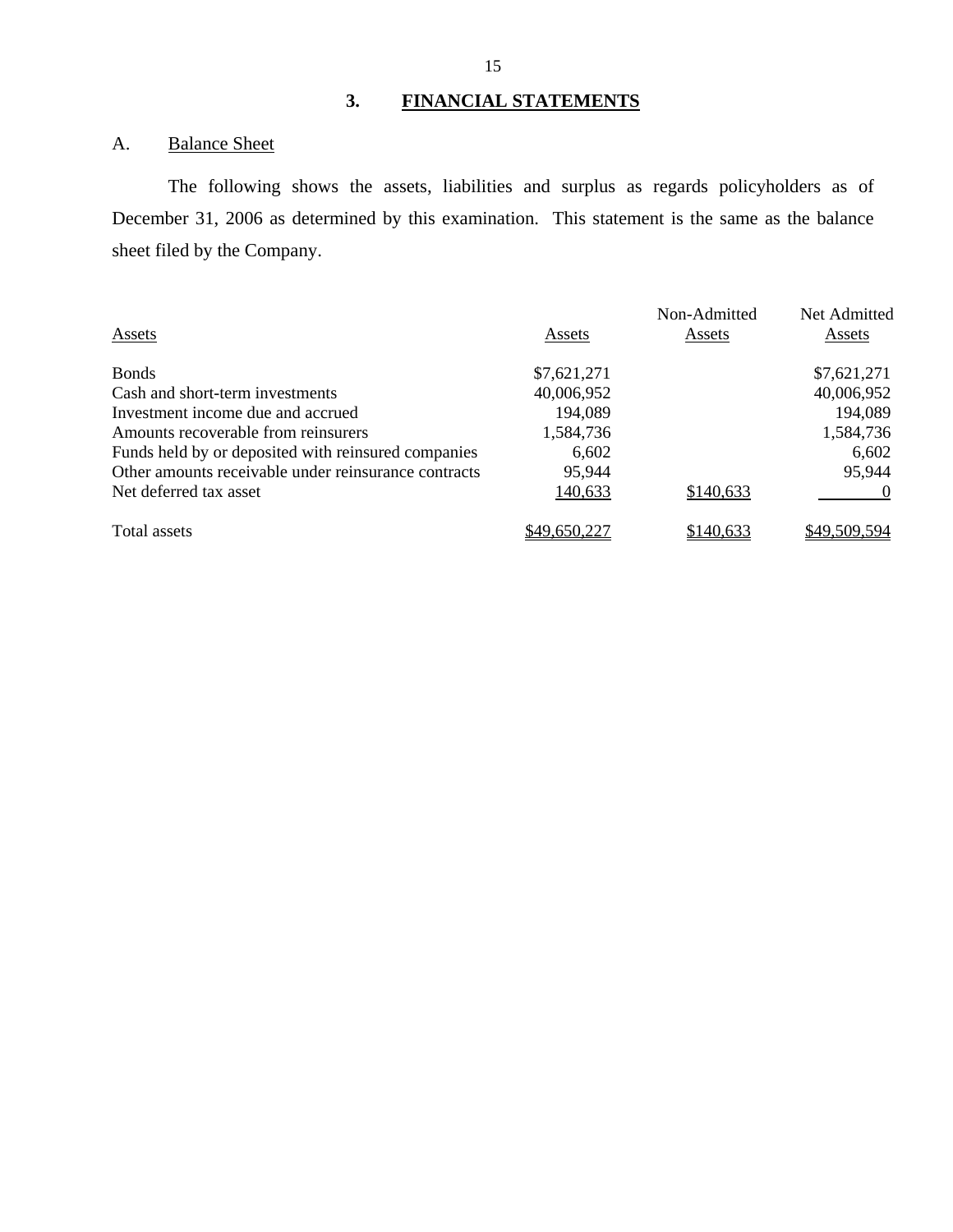## A. Balance Sheet

The following shows the assets, liabilities and surplus as regards policyholders as of December 31, 2006 as determined by this examination. This statement is the same as the balance sheet filed by the Company.

|                                                      |              | Non-Admitted | Net Admitted |
|------------------------------------------------------|--------------|--------------|--------------|
| Assets                                               | Assets       | Assets       | Assets       |
| <b>Bonds</b>                                         | \$7,621,271  |              | \$7,621,271  |
| Cash and short-term investments                      | 40,006,952   |              | 40,006,952   |
| Investment income due and accrued                    | 194,089      |              | 194,089      |
| Amounts recoverable from reinsurers                  | 1,584,736    |              | 1,584,736    |
| Funds held by or deposited with reinsured companies  | 6,602        |              | 6,602        |
| Other amounts receivable under reinsurance contracts | 95,944       |              | 95,944       |
| Net deferred tax asset                               | 140,633      | \$140,633    |              |
| Total assets                                         | \$49,650,227 | \$140,633    | \$49,509,594 |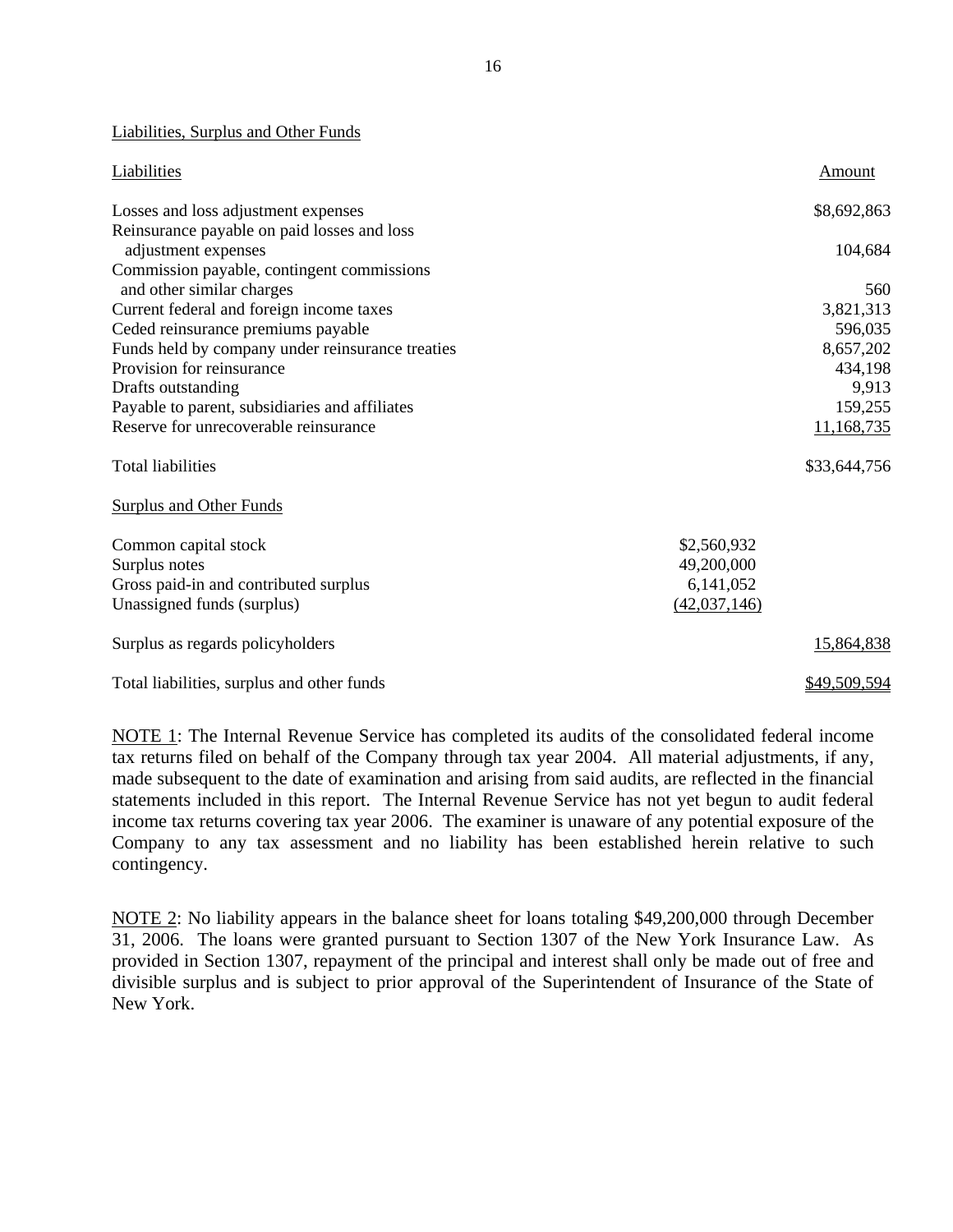#### Liabilities, Surplus and Other Funds

| Liabilities                                      |              | Amount       |
|--------------------------------------------------|--------------|--------------|
| Losses and loss adjustment expenses              |              | \$8,692,863  |
| Reinsurance payable on paid losses and loss      |              |              |
| adjustment expenses                              |              | 104,684      |
| Commission payable, contingent commissions       |              |              |
| and other similar charges                        |              | 560          |
| Current federal and foreign income taxes         |              | 3,821,313    |
| Ceded reinsurance premiums payable               |              | 596,035      |
| Funds held by company under reinsurance treaties |              | 8,657,202    |
| Provision for reinsurance                        |              | 434,198      |
| Drafts outstanding                               |              | 9,913        |
| Payable to parent, subsidiaries and affiliates   |              | 159,255      |
| Reserve for unrecoverable reinsurance            |              | 11,168,735   |
| <b>Total liabilities</b>                         |              | \$33,644,756 |
| <b>Surplus and Other Funds</b>                   |              |              |
| Common capital stock                             | \$2,560,932  |              |
| Surplus notes                                    | 49,200,000   |              |
| Gross paid-in and contributed surplus            | 6,141,052    |              |
| Unassigned funds (surplus)                       | (42,037,146) |              |
| Surplus as regards policyholders                 |              | 15,864,838   |
| Total liabilities, surplus and other funds       |              | \$49,509,594 |

NOTE 1: The Internal Revenue Service has completed its audits of the consolidated federal income tax returns filed on behalf of the Company through tax year 2004. All material adjustments, if any, made subsequent to the date of examination and arising from said audits, are reflected in the financial statements included in this report. The Internal Revenue Service has not yet begun to audit federal income tax returns covering tax year 2006. The examiner is unaware of any potential exposure of the Company to any tax assessment and no liability has been established herein relative to such contingency.

NOTE 2: No liability appears in the balance sheet for loans totaling \$49,200,000 through December 31, 2006. The loans were granted pursuant to Section 1307 of the New York Insurance Law. As provided in Section 1307, repayment of the principal and interest shall only be made out of free and divisible surplus and is subject to prior approval of the Superintendent of Insurance of the State of New York.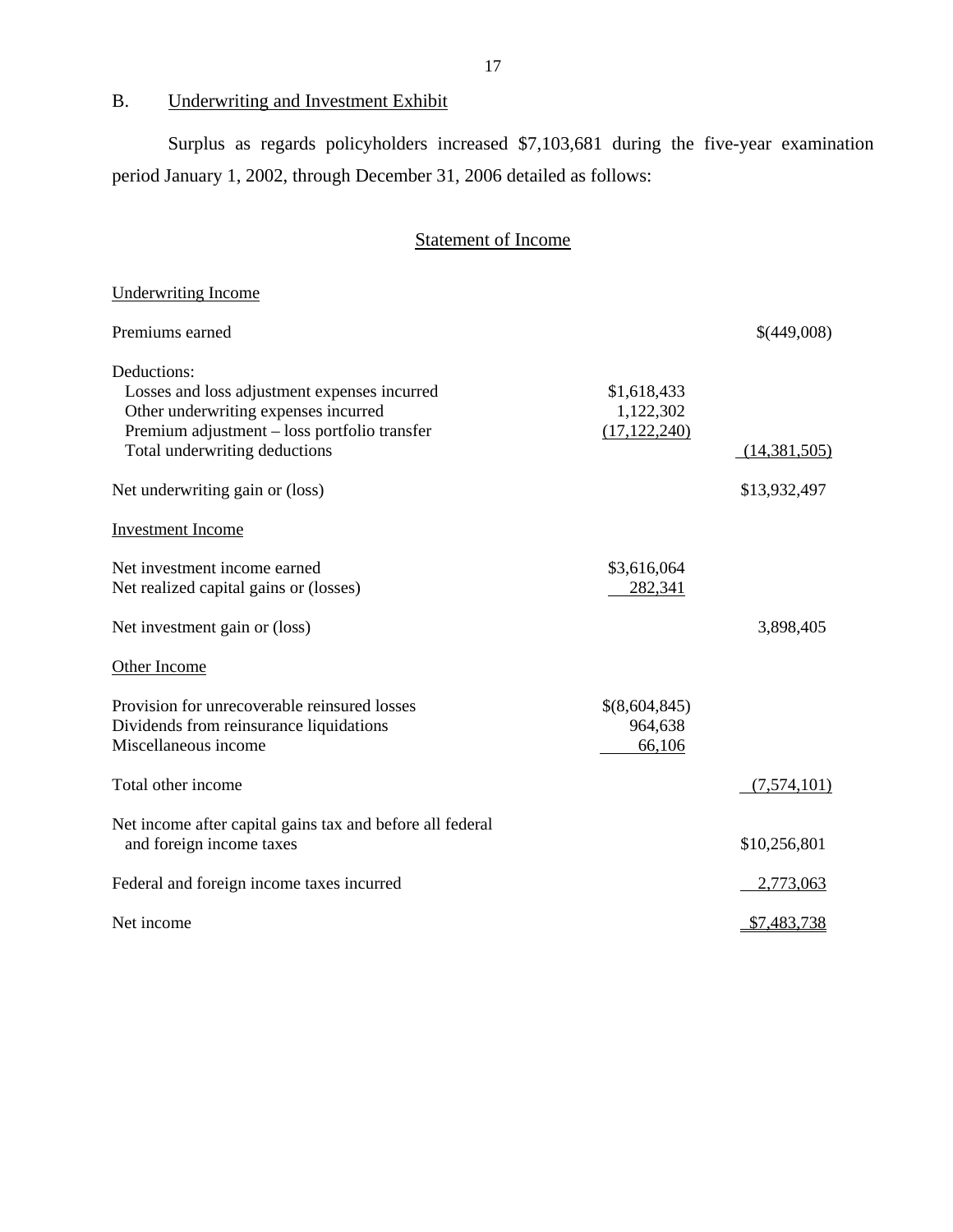B. Underwriting and Investment Exhibit

Surplus as regards policyholders increased \$7,103,681 during the five-year examination period January 1, 2002, through December 31, 2006 detailed as follows:

## Statement of Income

| <b>Underwriting Income</b>                                                           |                             |                |
|--------------------------------------------------------------------------------------|-----------------------------|----------------|
| Premiums earned                                                                      |                             | \$(449,008)    |
| Deductions:                                                                          |                             |                |
| Losses and loss adjustment expenses incurred                                         | \$1,618,433                 |                |
| Other underwriting expenses incurred<br>Premium adjustment - loss portfolio transfer | 1,122,302<br>(17, 122, 240) |                |
| Total underwriting deductions                                                        |                             | (14, 381, 505) |
| Net underwriting gain or (loss)                                                      |                             | \$13,932,497   |
| <b>Investment Income</b>                                                             |                             |                |
| Net investment income earned                                                         | \$3,616,064                 |                |
| Net realized capital gains or (losses)                                               | 282,341                     |                |
| Net investment gain or (loss)                                                        |                             | 3,898,405      |
| Other Income                                                                         |                             |                |
| Provision for unrecoverable reinsured losses                                         | \$(8,604,845)               |                |
| Dividends from reinsurance liquidations                                              | 964,638                     |                |
| Miscellaneous income                                                                 | 66,106                      |                |
| Total other income                                                                   |                             | (7,574,101)    |
| Net income after capital gains tax and before all federal                            |                             |                |
| and foreign income taxes                                                             |                             | \$10,256,801   |
| Federal and foreign income taxes incurred                                            |                             | 2,773,063      |
| Net income                                                                           |                             | \$7,483,738    |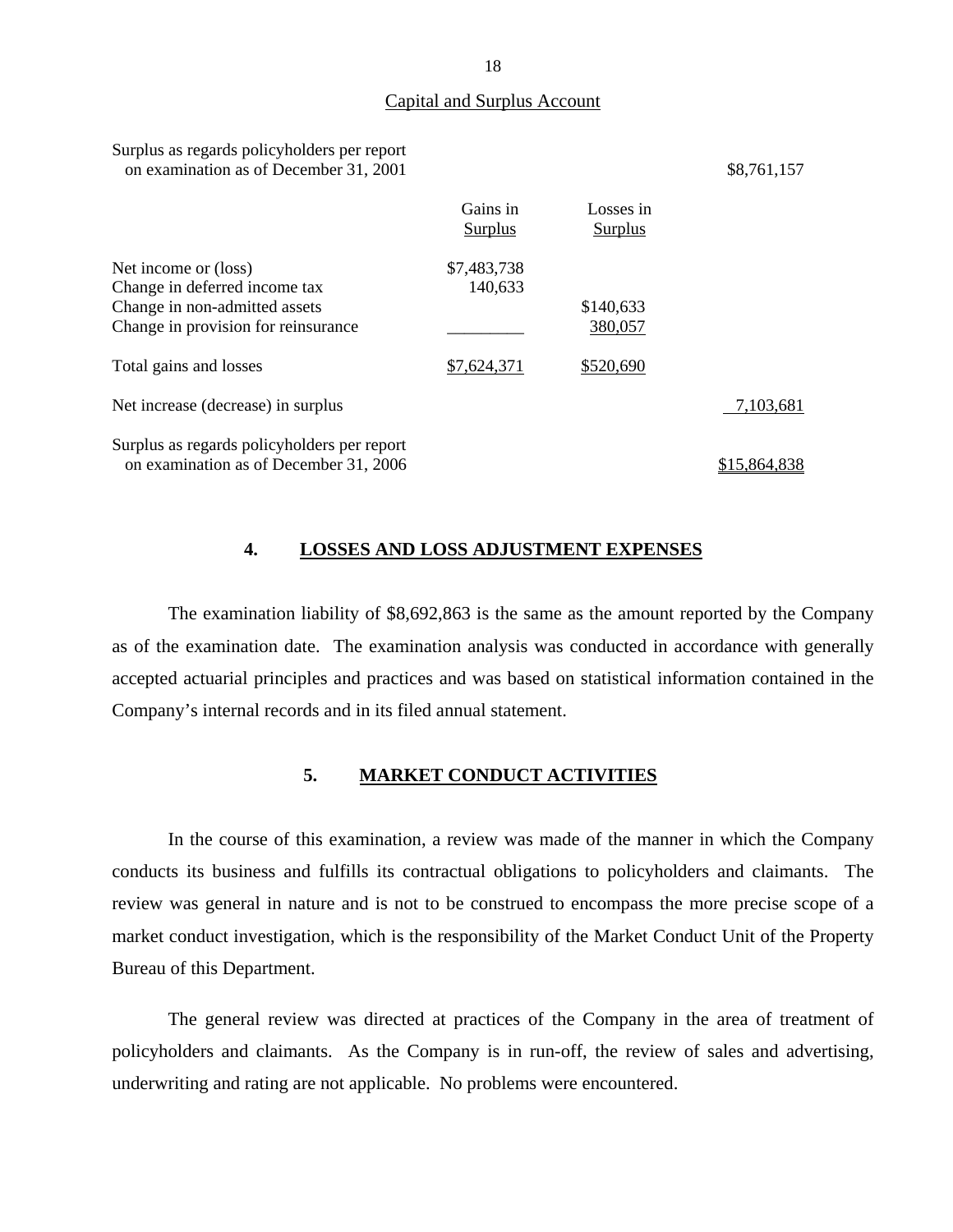#### Capital and Surplus Account

| Surplus as regards policyholders per report<br>on examination as of December 31, 2001                                         |                        |                             | \$8,761,157  |
|-------------------------------------------------------------------------------------------------------------------------------|------------------------|-----------------------------|--------------|
|                                                                                                                               | Gains in<br>Surplus    | Losses in<br><b>Surplus</b> |              |
| Net income or (loss)<br>Change in deferred income tax<br>Change in non-admitted assets<br>Change in provision for reinsurance | \$7,483,738<br>140,633 | \$140,633<br>380,057        |              |
| Total gains and losses                                                                                                        | \$7,624,371            | \$520,690                   |              |
| Net increase (decrease) in surplus                                                                                            |                        |                             | 7,103,681    |
| Surplus as regards policyholders per report<br>on examination as of December 31, 2006                                         |                        |                             | \$15.864.838 |

#### **4. LOSSES AND LOSS ADJUSTMENT EXPENSES**

The examination liability of \$8,692,863 is the same as the amount reported by the Company as of the examination date. The examination analysis was conducted in accordance with generally accepted actuarial principles and practices and was based on statistical information contained in the Company's internal records and in its filed annual statement.

#### **5. MARKET CONDUCT ACTIVITIES**

In the course of this examination, a review was made of the manner in which the Company conducts its business and fulfills its contractual obligations to policyholders and claimants. The review was general in nature and is not to be construed to encompass the more precise scope of a market conduct investigation, which is the responsibility of the Market Conduct Unit of the Property Bureau of this Department.

The general review was directed at practices of the Company in the area of treatment of policyholders and claimants. As the Company is in run-off, the review of sales and advertising, underwriting and rating are not applicable. No problems were encountered.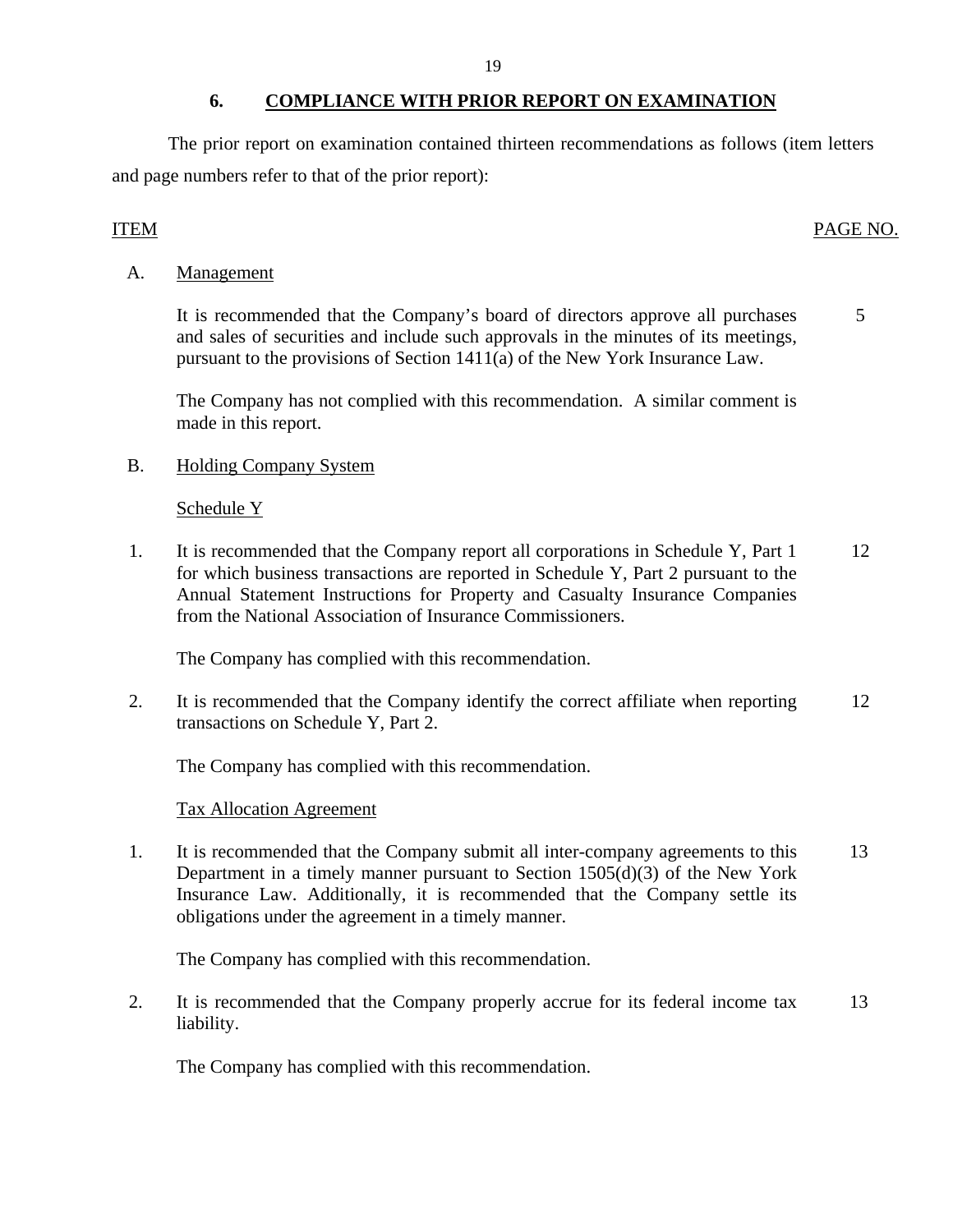#### **6. COMPLIANCE WITH PRIOR REPORT ON EXAMINATION**

<span id="page-20-0"></span>The prior report on examination contained thirteen recommendations as follows (item letters and page numbers refer to that of the prior report):

### ITEM PAGE NO.

A. Management

It is recommended that the Company's board of directors approve all purchases 5 and sales of securities and include such approvals in the minutes of its meetings, pursuant to the provisions of Section 1411(a) of the New York Insurance Law.

The Company has not complied with this recommendation. A similar comment is made in this report.

B. Holding Company System

### Schedule Y

1. It is recommended that the Company report all corporations in Schedule Y, Part 1 12 for which business transactions are reported in Schedule Y, Part 2 pursuant to the Annual Statement Instructions for Property and Casualty Insurance Companies from the National Association of Insurance Commissioners.

The Company has complied with this recommendation.

2. It is recommended that the Company identify the correct affiliate when reporting 12 transactions on Schedule Y, Part 2.

The Company has complied with this recommendation.

### Tax Allocation Agreement

1. It is recommended that the Company submit all inter-company agreements to this 13 Department in a timely manner pursuant to Section 1505(d)(3) of the New York Insurance Law. Additionally, it is recommended that the Company settle its obligations under the agreement in a timely manner.

The Company has complied with this recommendation.

2. It is recommended that the Company properly accrue for its federal income tax 13 liability.

The Company has complied with this recommendation.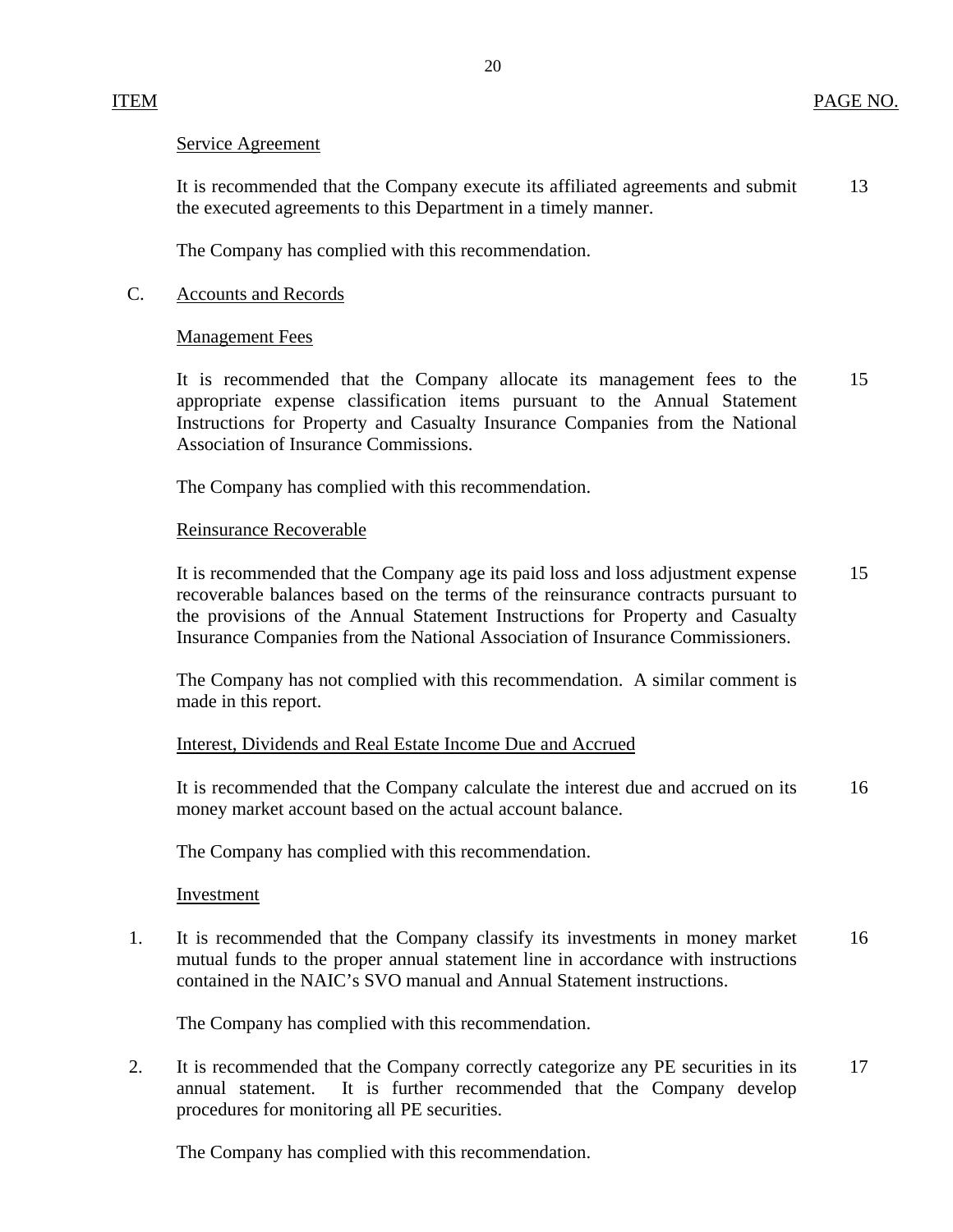#### Service Agreement

It is recommended that the Company execute its affiliated agreements and submit 13 the executed agreements to this Department in a timely manner.

The Company has complied with this recommendation.

#### C. Accounts and Records

#### Management Fees

It is recommended that the Company allocate its management fees to the 15 appropriate expense classification items pursuant to the Annual Statement Instructions for Property and Casualty Insurance Companies from the National Association of Insurance Commissions.

The Company has complied with this recommendation.

#### Reinsurance Recoverable

It is recommended that the Company age its paid loss and loss adjustment expense 15 recoverable balances based on the terms of the reinsurance contracts pursuant to the provisions of the Annual Statement Instructions for Property and Casualty Insurance Companies from the National Association of Insurance Commissioners.

The Company has not complied with this recommendation. A similar comment is made in this report.

### Interest, Dividends and Real Estate Income Due and Accrued

It is recommended that the Company calculate the interest due and accrued on its 16 money market account based on the actual account balance.

The Company has complied with this recommendation.

#### Investment

1. It is recommended that the Company classify its investments in money market 16 mutual funds to the proper annual statement line in accordance with instructions contained in the NAIC's SVO manual and Annual Statement instructions.

The Company has complied with this recommendation.

2. It is recommended that the Company correctly categorize any PE securities in its 17 annual statement. It is further recommended that the Company develop procedures for monitoring all PE securities.

The Company has complied with this recommendation.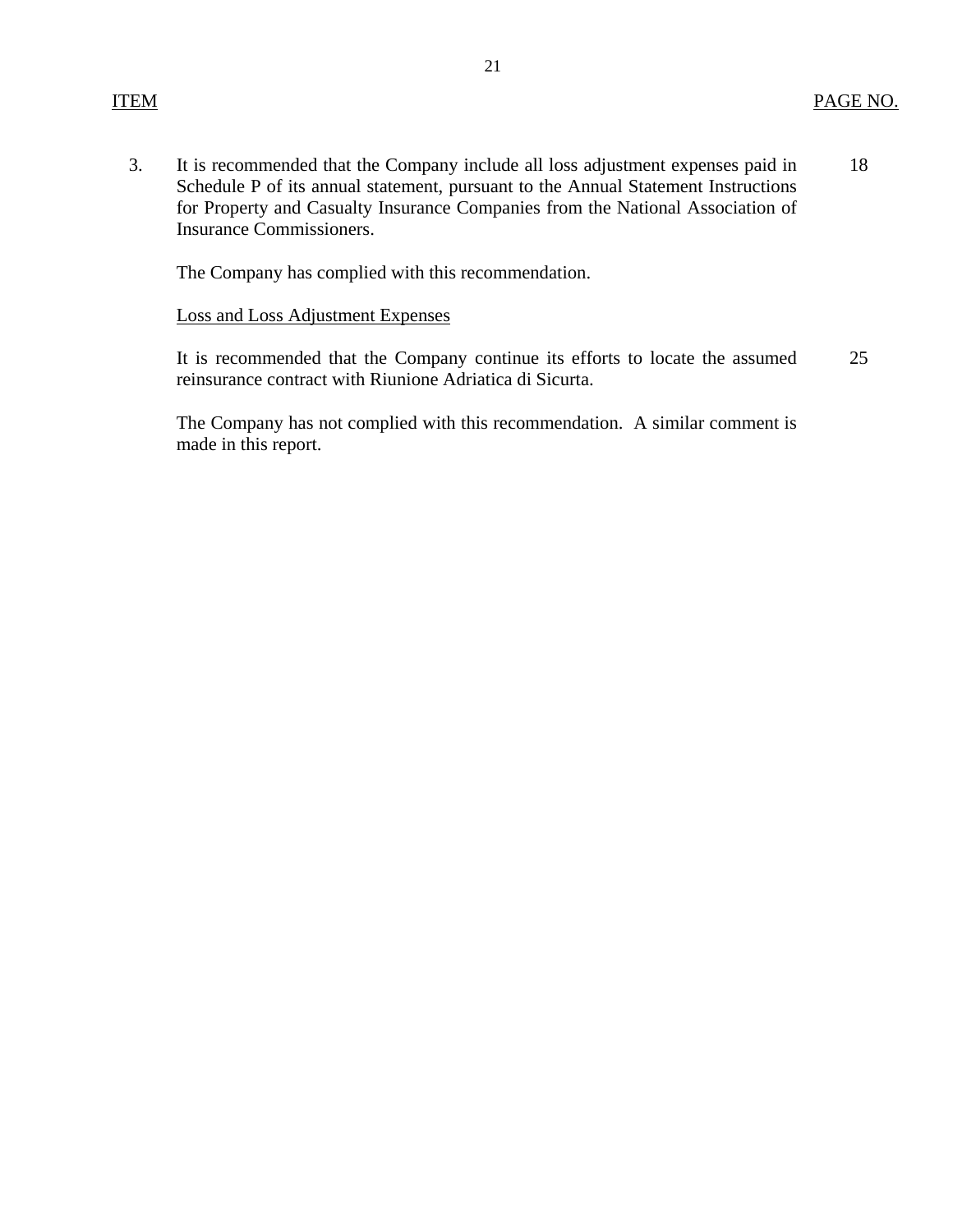3. It is recommended that the Company include all loss adjustment expenses paid in Schedule P of its annual statement, pursuant to the Annual Statement Instructions for Property and Casualty Insurance Companies from the National Association of Insurance Commissioners. 18

The Company has complied with this recommendation.

#### Loss and Loss Adjustment Expenses

It is recommended that the Company continue its efforts to locate the assumed reinsurance contract with Riunione Adriatica di Sicurta. 25

The Company has not complied with this recommendation. A similar comment is made in this report.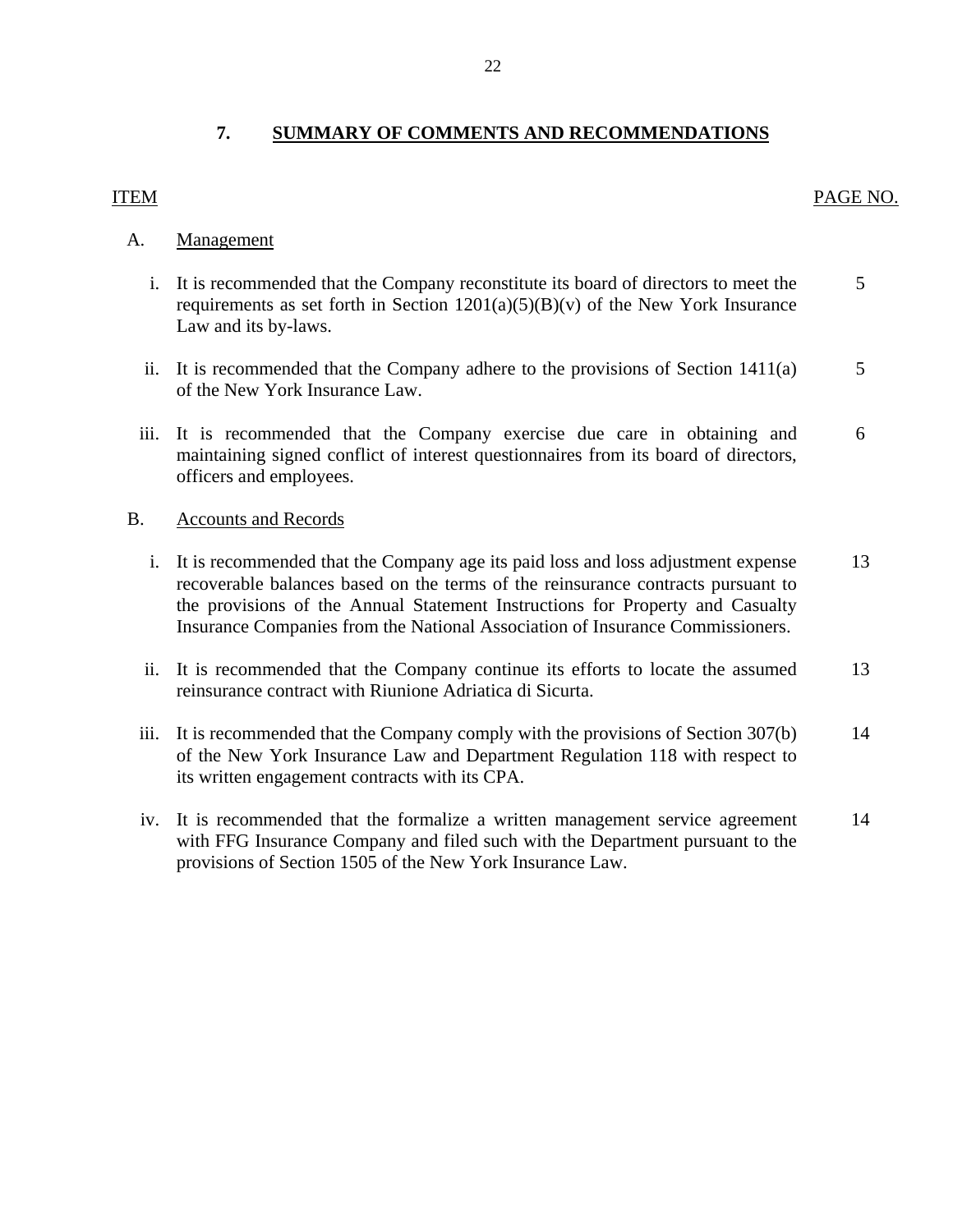## <span id="page-23-0"></span>ITEM PAGE NO.

### A. Management

- i. It is recommended that the Company reconstitute its board of directors to meet the 5 requirements as set forth in Section  $1201(a)(5)(B)(v)$  of the New York Insurance Law and its by-laws.
- ii. It is recommended that the Company adhere to the provisions of Section  $1411(a)$  5 of the New York Insurance Law.
- iii. It is recommended that the Company exercise due care in obtaining and 6 maintaining signed conflict of interest questionnaires from its board of directors, officers and employees.

#### B. Accounts and Records

- i. It is recommended that the Company age its paid loss and loss adjustment expense 13 recoverable balances based on the terms of the reinsurance contracts pursuant to the provisions of the Annual Statement Instructions for Property and Casualty Insurance Companies from the National Association of Insurance Commissioners.
- ii. It is recommended that the Company continue its efforts to locate the assumed 13 reinsurance contract with Riunione Adriatica di Sicurta.
- iii. It is recommended that the Company comply with the provisions of Section  $307(b)$  14 of the New York Insurance Law and Department Regulation 118 with respect to its written engagement contracts with its CPA.
- iv. It is recommended that the formalize a written management service agreement 14 with FFG Insurance Company and filed such with the Department pursuant to the provisions of Section 1505 of the New York Insurance Law.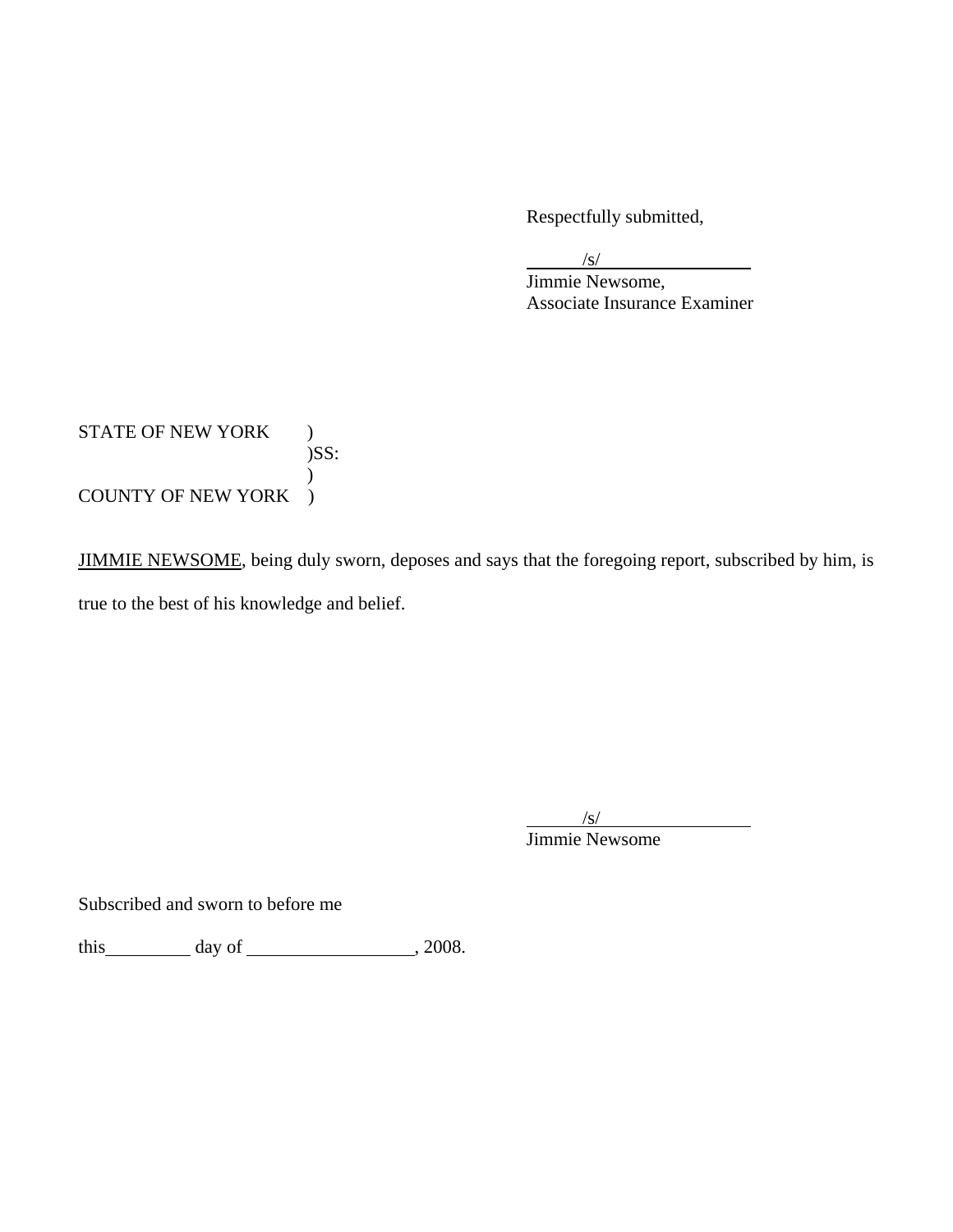Respectfully submitted,

/s/

 Jimmie Newsome, Associate Insurance Examiner

STATE OF NEW YORK ) )SS:  $\mathcal{L}$ COUNTY OF NEW YORK )

JIMMIE NEWSOME, being duly sworn, deposes and says that the foregoing report, subscribed by him, is true to the best of his knowledge and belief.

 /s/ Jimmie Newsome

Subscribed and sworn to before me

this  $\qquad \qquad \text{day of } \qquad \qquad .2008.$